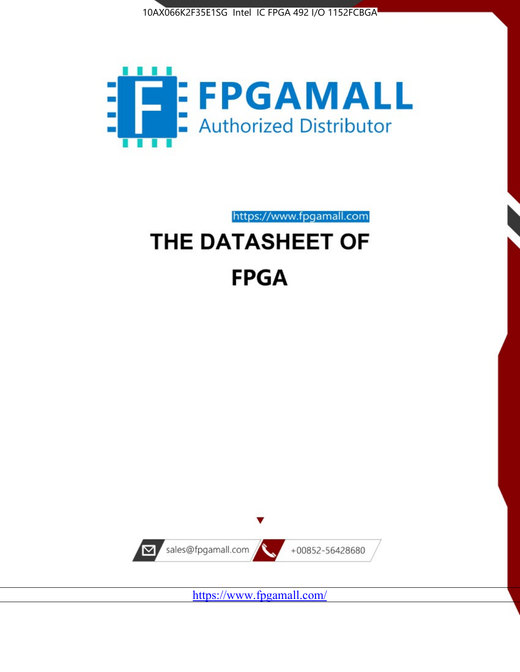



https://www.fpgamall.com THE DATASHEET OF

# **FPGA**



<https://www.fpgamall.com/>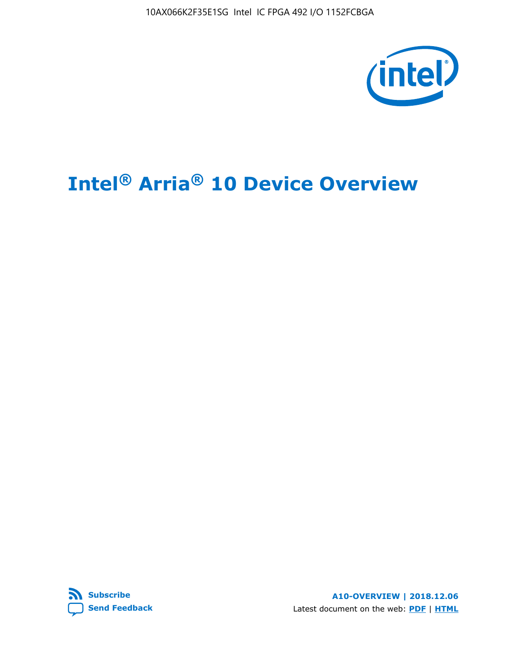10AX066K2F35E1SG Intel IC FPGA 492 I/O 1152FCBGA



# **Intel® Arria® 10 Device Overview**



**A10-OVERVIEW | 2018.12.06** Latest document on the web: **[PDF](https://www.intel.com/content/dam/www/programmable/us/en/pdfs/literature/hb/arria-10/a10_overview.pdf)** | **[HTML](https://www.intel.com/content/www/us/en/programmable/documentation/sam1403480274650.html)**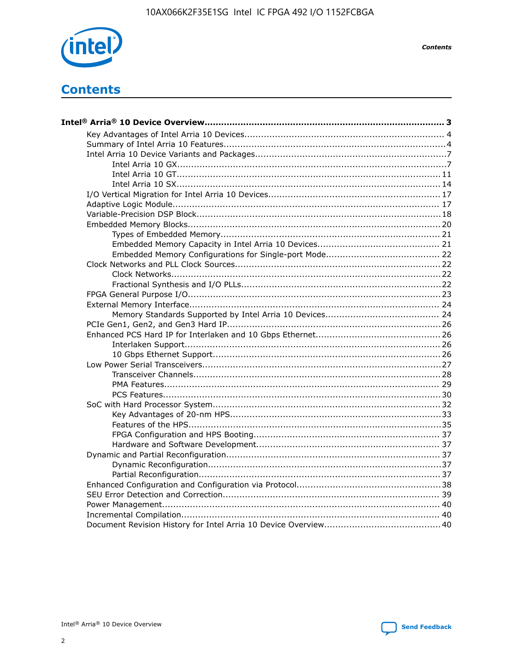

**Contents** 

# **Contents**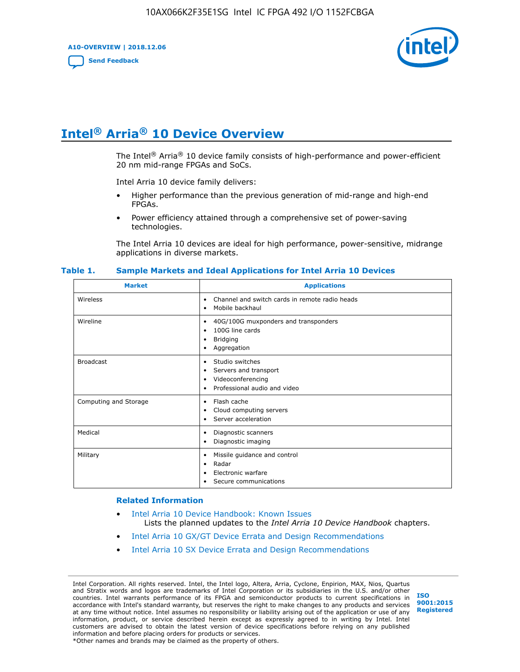**A10-OVERVIEW | 2018.12.06**

**[Send Feedback](mailto:FPGAtechdocfeedback@intel.com?subject=Feedback%20on%20Intel%20Arria%2010%20Device%20Overview%20(A10-OVERVIEW%202018.12.06)&body=We%20appreciate%20your%20feedback.%20In%20your%20comments,%20also%20specify%20the%20page%20number%20or%20paragraph.%20Thank%20you.)**



# **Intel® Arria® 10 Device Overview**

The Intel<sup>®</sup> Arria<sup>®</sup> 10 device family consists of high-performance and power-efficient 20 nm mid-range FPGAs and SoCs.

Intel Arria 10 device family delivers:

- Higher performance than the previous generation of mid-range and high-end FPGAs.
- Power efficiency attained through a comprehensive set of power-saving technologies.

The Intel Arria 10 devices are ideal for high performance, power-sensitive, midrange applications in diverse markets.

| <b>Market</b>         | <b>Applications</b>                                                                                               |
|-----------------------|-------------------------------------------------------------------------------------------------------------------|
| Wireless              | Channel and switch cards in remote radio heads<br>٠<br>Mobile backhaul<br>٠                                       |
| Wireline              | 40G/100G muxponders and transponders<br>٠<br>100G line cards<br>٠<br><b>Bridging</b><br>٠<br>Aggregation<br>٠     |
| <b>Broadcast</b>      | Studio switches<br>٠<br>Servers and transport<br>٠<br>Videoconferencing<br>٠<br>Professional audio and video<br>٠ |
| Computing and Storage | Flash cache<br>٠<br>Cloud computing servers<br>٠<br>Server acceleration<br>٠                                      |
| Medical               | Diagnostic scanners<br>٠<br>Diagnostic imaging<br>٠                                                               |
| Military              | Missile guidance and control<br>٠<br>Radar<br>٠<br>Electronic warfare<br>٠<br>Secure communications<br>٠          |

#### **Table 1. Sample Markets and Ideal Applications for Intel Arria 10 Devices**

#### **Related Information**

- [Intel Arria 10 Device Handbook: Known Issues](http://www.altera.com/support/kdb/solutions/rd07302013_646.html) Lists the planned updates to the *Intel Arria 10 Device Handbook* chapters.
- [Intel Arria 10 GX/GT Device Errata and Design Recommendations](https://www.intel.com/content/www/us/en/programmable/documentation/agz1493851706374.html#yqz1494433888646)
- [Intel Arria 10 SX Device Errata and Design Recommendations](https://www.intel.com/content/www/us/en/programmable/documentation/cru1462832385668.html#cru1462832558642)

Intel Corporation. All rights reserved. Intel, the Intel logo, Altera, Arria, Cyclone, Enpirion, MAX, Nios, Quartus and Stratix words and logos are trademarks of Intel Corporation or its subsidiaries in the U.S. and/or other countries. Intel warrants performance of its FPGA and semiconductor products to current specifications in accordance with Intel's standard warranty, but reserves the right to make changes to any products and services at any time without notice. Intel assumes no responsibility or liability arising out of the application or use of any information, product, or service described herein except as expressly agreed to in writing by Intel. Intel customers are advised to obtain the latest version of device specifications before relying on any published information and before placing orders for products or services. \*Other names and brands may be claimed as the property of others.

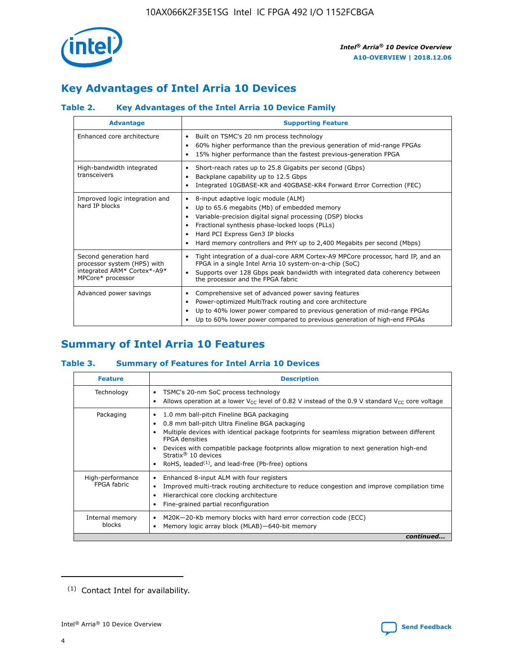

## **Key Advantages of Intel Arria 10 Devices**

#### **Table 2. Key Advantages of the Intel Arria 10 Device Family**

| <b>Advantage</b>                                                                                          | <b>Supporting Feature</b>                                                                                                                                                                                                                                                                                                |
|-----------------------------------------------------------------------------------------------------------|--------------------------------------------------------------------------------------------------------------------------------------------------------------------------------------------------------------------------------------------------------------------------------------------------------------------------|
| Enhanced core architecture                                                                                | Built on TSMC's 20 nm process technology<br>٠<br>60% higher performance than the previous generation of mid-range FPGAs<br>٠<br>15% higher performance than the fastest previous-generation FPGA<br>٠                                                                                                                    |
| High-bandwidth integrated<br>transceivers                                                                 | Short-reach rates up to 25.8 Gigabits per second (Gbps)<br>٠<br>Backplane capability up to 12.5 Gbps<br>٠<br>Integrated 10GBASE-KR and 40GBASE-KR4 Forward Error Correction (FEC)<br>٠                                                                                                                                   |
| Improved logic integration and<br>hard IP blocks                                                          | 8-input adaptive logic module (ALM)<br>٠<br>Up to 65.6 megabits (Mb) of embedded memory<br>٠<br>Variable-precision digital signal processing (DSP) blocks<br>Fractional synthesis phase-locked loops (PLLs)<br>Hard PCI Express Gen3 IP blocks<br>Hard memory controllers and PHY up to 2,400 Megabits per second (Mbps) |
| Second generation hard<br>processor system (HPS) with<br>integrated ARM* Cortex*-A9*<br>MPCore* processor | Tight integration of a dual-core ARM Cortex-A9 MPCore processor, hard IP, and an<br>٠<br>FPGA in a single Intel Arria 10 system-on-a-chip (SoC)<br>Supports over 128 Gbps peak bandwidth with integrated data coherency between<br>$\bullet$<br>the processor and the FPGA fabric                                        |
| Advanced power savings                                                                                    | Comprehensive set of advanced power saving features<br>٠<br>Power-optimized MultiTrack routing and core architecture<br>٠<br>Up to 40% lower power compared to previous generation of mid-range FPGAs<br>Up to 60% lower power compared to previous generation of high-end FPGAs                                         |

## **Summary of Intel Arria 10 Features**

#### **Table 3. Summary of Features for Intel Arria 10 Devices**

| <b>Feature</b>                  | <b>Description</b>                                                                                                                                                                                                                                                                                                                                                                                       |
|---------------------------------|----------------------------------------------------------------------------------------------------------------------------------------------------------------------------------------------------------------------------------------------------------------------------------------------------------------------------------------------------------------------------------------------------------|
| Technology                      | TSMC's 20-nm SoC process technology<br>٠<br>Allows operation at a lower $V_{\text{CC}}$ level of 0.82 V instead of the 0.9 V standard $V_{\text{CC}}$ core voltage                                                                                                                                                                                                                                       |
| Packaging                       | 1.0 mm ball-pitch Fineline BGA packaging<br>0.8 mm ball-pitch Ultra Fineline BGA packaging<br>Multiple devices with identical package footprints for seamless migration between different<br><b>FPGA</b> densities<br>Devices with compatible package footprints allow migration to next generation high-end<br>Stratix $\mathcal{R}$ 10 devices<br>RoHS, leaded $(1)$ , and lead-free (Pb-free) options |
| High-performance<br>FPGA fabric | Enhanced 8-input ALM with four registers<br>٠<br>Improved multi-track routing architecture to reduce congestion and improve compilation time<br>Hierarchical core clocking architecture<br>Fine-grained partial reconfiguration                                                                                                                                                                          |
| Internal memory<br>blocks       | M20K-20-Kb memory blocks with hard error correction code (ECC)<br>Memory logic array block (MLAB)-640-bit memory                                                                                                                                                                                                                                                                                         |
|                                 | continued                                                                                                                                                                                                                                                                                                                                                                                                |



<sup>(1)</sup> Contact Intel for availability.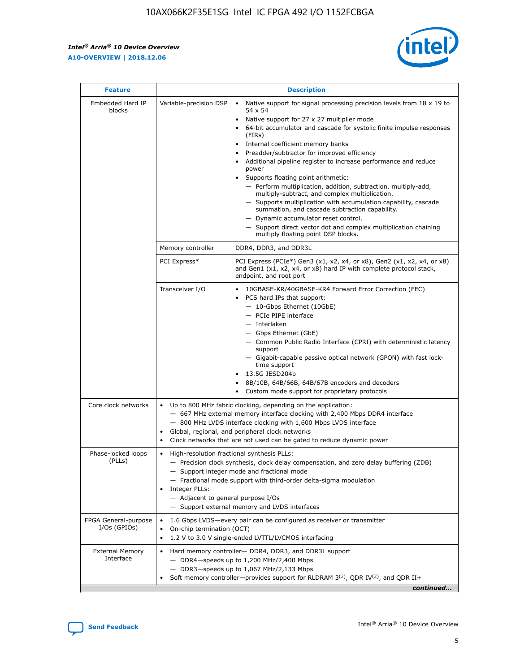r



| <b>Feature</b>                         | <b>Description</b>                                                                                     |                                                                                                                                                                                                                                                                                                                                                                                                                                                                                                                                                                                                                                                                                                                                                                                                                                                                  |  |  |  |  |  |
|----------------------------------------|--------------------------------------------------------------------------------------------------------|------------------------------------------------------------------------------------------------------------------------------------------------------------------------------------------------------------------------------------------------------------------------------------------------------------------------------------------------------------------------------------------------------------------------------------------------------------------------------------------------------------------------------------------------------------------------------------------------------------------------------------------------------------------------------------------------------------------------------------------------------------------------------------------------------------------------------------------------------------------|--|--|--|--|--|
| Embedded Hard IP<br>blocks             | Variable-precision DSP                                                                                 | Native support for signal processing precision levels from $18 \times 19$ to<br>$\bullet$<br>54 x 54<br>Native support for 27 x 27 multiplier mode<br>$\bullet$<br>64-bit accumulator and cascade for systolic finite impulse responses<br>(FIRs)<br>Internal coefficient memory banks<br>$\bullet$<br>Preadder/subtractor for improved efficiency<br>Additional pipeline register to increase performance and reduce<br>power<br>Supports floating point arithmetic:<br>- Perform multiplication, addition, subtraction, multiply-add,<br>multiply-subtract, and complex multiplication.<br>- Supports multiplication with accumulation capability, cascade<br>summation, and cascade subtraction capability.<br>- Dynamic accumulator reset control.<br>- Support direct vector dot and complex multiplication chaining<br>multiply floating point DSP blocks. |  |  |  |  |  |
|                                        | Memory controller                                                                                      | DDR4, DDR3, and DDR3L                                                                                                                                                                                                                                                                                                                                                                                                                                                                                                                                                                                                                                                                                                                                                                                                                                            |  |  |  |  |  |
|                                        | PCI Express*                                                                                           | PCI Express (PCIe*) Gen3 (x1, x2, x4, or x8), Gen2 (x1, x2, x4, or x8)<br>and Gen1 (x1, x2, x4, or x8) hard IP with complete protocol stack,<br>endpoint, and root port                                                                                                                                                                                                                                                                                                                                                                                                                                                                                                                                                                                                                                                                                          |  |  |  |  |  |
|                                        | Transceiver I/O                                                                                        | $\bullet$<br>10GBASE-KR/40GBASE-KR4 Forward Error Correction (FEC)<br>PCS hard IPs that support:<br>$\bullet$<br>- 10-Gbps Ethernet (10GbE)<br>- PCIe PIPE interface<br>- Interlaken<br>- Gbps Ethernet (GbE)<br>- Common Public Radio Interface (CPRI) with deterministic latency<br>support<br>- Gigabit-capable passive optical network (GPON) with fast lock-<br>time support<br>13.5G JESD204b<br>$\bullet$<br>8B/10B, 64B/66B, 64B/67B encoders and decoders<br>Custom mode support for proprietary protocols                                                                                                                                                                                                                                                                                                                                              |  |  |  |  |  |
| Core clock networks                    | ٠<br>٠                                                                                                 | Up to 800 MHz fabric clocking, depending on the application:<br>- 667 MHz external memory interface clocking with 2,400 Mbps DDR4 interface<br>- 800 MHz LVDS interface clocking with 1,600 Mbps LVDS interface<br>Global, regional, and peripheral clock networks<br>Clock networks that are not used can be gated to reduce dynamic power                                                                                                                                                                                                                                                                                                                                                                                                                                                                                                                      |  |  |  |  |  |
| Phase-locked loops<br>(PLLs)           | High-resolution fractional synthesis PLLs:<br>٠<br>Integer PLLs:<br>- Adjacent to general purpose I/Os | - Precision clock synthesis, clock delay compensation, and zero delay buffering (ZDB)<br>- Support integer mode and fractional mode<br>- Fractional mode support with third-order delta-sigma modulation<br>- Support external memory and LVDS interfaces                                                                                                                                                                                                                                                                                                                                                                                                                                                                                                                                                                                                        |  |  |  |  |  |
| FPGA General-purpose<br>$I/Os$ (GPIOs) | On-chip termination (OCT)                                                                              | 1.6 Gbps LVDS-every pair can be configured as receiver or transmitter<br>1.2 V to 3.0 V single-ended LVTTL/LVCMOS interfacing                                                                                                                                                                                                                                                                                                                                                                                                                                                                                                                                                                                                                                                                                                                                    |  |  |  |  |  |
| <b>External Memory</b><br>Interface    |                                                                                                        | Hard memory controller- DDR4, DDR3, and DDR3L support<br>- DDR4-speeds up to 1,200 MHz/2,400 Mbps<br>- DDR3-speeds up to 1,067 MHz/2,133 Mbps<br>Soft memory controller—provides support for RLDRAM $3^{(2)}$ , QDR IV $^{(2)}$ , and QDR II+<br>continued                                                                                                                                                                                                                                                                                                                                                                                                                                                                                                                                                                                                       |  |  |  |  |  |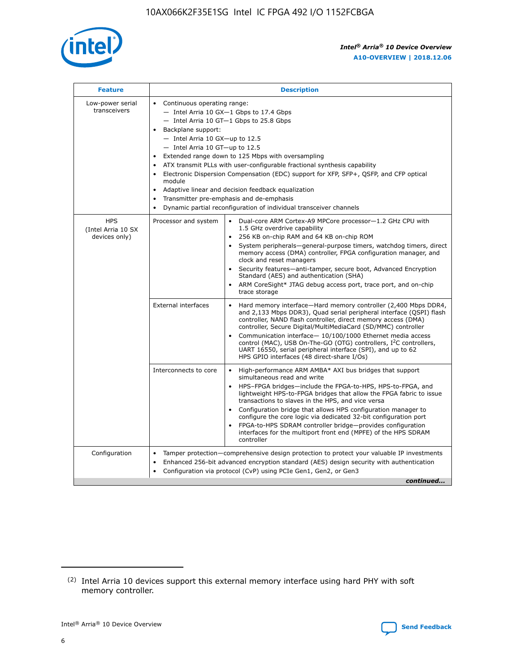

| <b>Feature</b>                                    | <b>Description</b>                                                                                                                                                                                                                                                                                                                                                                                                                                                                                                                                                                                                                             |  |  |  |  |  |  |  |  |
|---------------------------------------------------|------------------------------------------------------------------------------------------------------------------------------------------------------------------------------------------------------------------------------------------------------------------------------------------------------------------------------------------------------------------------------------------------------------------------------------------------------------------------------------------------------------------------------------------------------------------------------------------------------------------------------------------------|--|--|--|--|--|--|--|--|
| Low-power serial<br>transceivers                  | • Continuous operating range:<br>- Intel Arria 10 GX-1 Gbps to 17.4 Gbps<br>- Intel Arria 10 GT-1 Gbps to 25.8 Gbps<br>Backplane support:<br>$-$ Intel Arria 10 GX-up to 12.5<br>$-$ Intel Arria 10 GT-up to 12.5<br>Extended range down to 125 Mbps with oversampling<br>ATX transmit PLLs with user-configurable fractional synthesis capability<br>• Electronic Dispersion Compensation (EDC) support for XFP, SFP+, QSFP, and CFP optical<br>module<br>• Adaptive linear and decision feedback equalization<br>Transmitter pre-emphasis and de-emphasis<br>$\bullet$<br>Dynamic partial reconfiguration of individual transceiver channels |  |  |  |  |  |  |  |  |
| <b>HPS</b><br>(Intel Arria 10 SX<br>devices only) | Processor and system<br>Dual-core ARM Cortex-A9 MPCore processor-1.2 GHz CPU with<br>$\bullet$<br>1.5 GHz overdrive capability<br>256 KB on-chip RAM and 64 KB on-chip ROM<br>$\bullet$<br>System peripherals-general-purpose timers, watchdog timers, direct<br>memory access (DMA) controller, FPGA configuration manager, and<br>clock and reset managers<br>• Security features—anti-tamper, secure boot, Advanced Encryption<br>Standard (AES) and authentication (SHA)<br>ARM CoreSight* JTAG debug access port, trace port, and on-chip<br>trace storage                                                                                |  |  |  |  |  |  |  |  |
|                                                   | <b>External interfaces</b><br>Hard memory interface—Hard memory controller (2,400 Mbps DDR4,<br>$\bullet$<br>and 2,133 Mbps DDR3), Quad serial peripheral interface (QSPI) flash<br>controller, NAND flash controller, direct memory access (DMA)<br>controller, Secure Digital/MultiMediaCard (SD/MMC) controller<br>Communication interface-10/100/1000 Ethernet media access<br>control (MAC), USB On-The-GO (OTG) controllers, I <sup>2</sup> C controllers,<br>UART 16550, serial peripheral interface (SPI), and up to 62<br>HPS GPIO interfaces (48 direct-share I/Os)                                                                  |  |  |  |  |  |  |  |  |
|                                                   | High-performance ARM AMBA* AXI bus bridges that support<br>Interconnects to core<br>$\bullet$<br>simultaneous read and write<br>HPS-FPGA bridges—include the FPGA-to-HPS, HPS-to-FPGA, and<br>$\bullet$<br>lightweight HPS-to-FPGA bridges that allow the FPGA fabric to issue<br>transactions to slaves in the HPS, and vice versa<br>Configuration bridge that allows HPS configuration manager to<br>configure the core logic via dedicated 32-bit configuration port<br>FPGA-to-HPS SDRAM controller bridge-provides configuration<br>interfaces for the multiport front end (MPFE) of the HPS SDRAM<br>controller                         |  |  |  |  |  |  |  |  |
| Configuration                                     | Tamper protection—comprehensive design protection to protect your valuable IP investments<br>Enhanced 256-bit advanced encryption standard (AES) design security with authentication<br>$\bullet$<br>Configuration via protocol (CvP) using PCIe Gen1, Gen2, or Gen3<br>continued                                                                                                                                                                                                                                                                                                                                                              |  |  |  |  |  |  |  |  |

<sup>(2)</sup> Intel Arria 10 devices support this external memory interface using hard PHY with soft memory controller.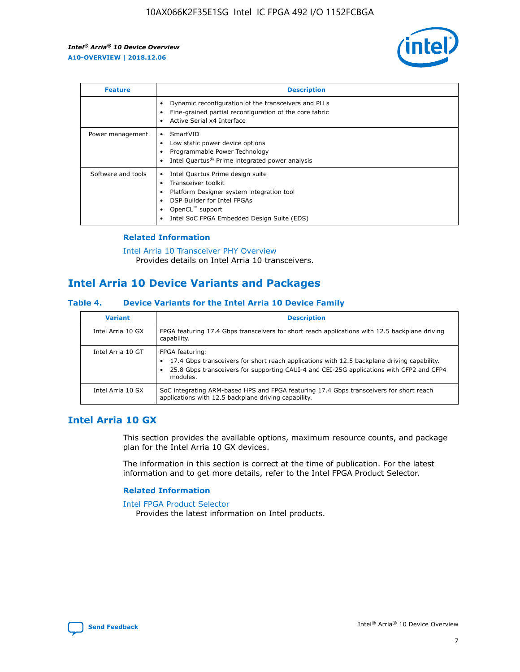

| <b>Feature</b>     | <b>Description</b>                                                                                                                                                                                               |
|--------------------|------------------------------------------------------------------------------------------------------------------------------------------------------------------------------------------------------------------|
|                    | Dynamic reconfiguration of the transceivers and PLLs<br>Fine-grained partial reconfiguration of the core fabric<br>Active Serial x4 Interface<br>$\bullet$                                                       |
| Power management   | SmartVID<br>$\bullet$<br>Low static power device options<br>Programmable Power Technology<br>Intel Quartus <sup>®</sup> Prime integrated power analysis                                                          |
| Software and tools | Intel Quartus Prime design suite<br>Transceiver toolkit<br>Platform Designer system integration tool<br>DSP Builder for Intel FPGAs<br>OpenCL <sup>"</sup> support<br>Intel SoC FPGA Embedded Design Suite (EDS) |

#### **Related Information**

[Intel Arria 10 Transceiver PHY Overview](https://www.intel.com/content/www/us/en/programmable/documentation/nik1398707230472.html#nik1398706768037) Provides details on Intel Arria 10 transceivers.

## **Intel Arria 10 Device Variants and Packages**

#### **Table 4. Device Variants for the Intel Arria 10 Device Family**

| <b>Variant</b>    | <b>Description</b>                                                                                                                                                                                                     |
|-------------------|------------------------------------------------------------------------------------------------------------------------------------------------------------------------------------------------------------------------|
| Intel Arria 10 GX | FPGA featuring 17.4 Gbps transceivers for short reach applications with 12.5 backplane driving<br>capability.                                                                                                          |
| Intel Arria 10 GT | FPGA featuring:<br>17.4 Gbps transceivers for short reach applications with 12.5 backplane driving capability.<br>25.8 Gbps transceivers for supporting CAUI-4 and CEI-25G applications with CFP2 and CFP4<br>modules. |
| Intel Arria 10 SX | SoC integrating ARM-based HPS and FPGA featuring 17.4 Gbps transceivers for short reach<br>applications with 12.5 backplane driving capability.                                                                        |

## **Intel Arria 10 GX**

This section provides the available options, maximum resource counts, and package plan for the Intel Arria 10 GX devices.

The information in this section is correct at the time of publication. For the latest information and to get more details, refer to the Intel FPGA Product Selector.

#### **Related Information**

#### [Intel FPGA Product Selector](http://www.altera.com/products/selector/psg-selector.html) Provides the latest information on Intel products.

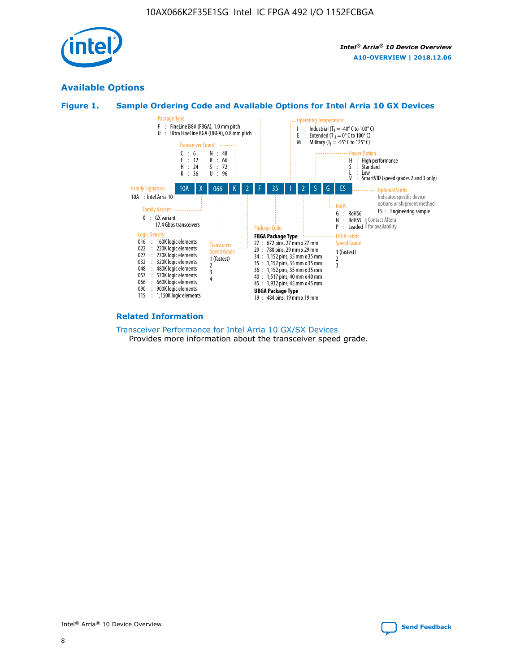

## **Available Options**





#### **Related Information**

[Transceiver Performance for Intel Arria 10 GX/SX Devices](https://www.intel.com/content/www/us/en/programmable/documentation/mcn1413182292568.html#mcn1413213965502) Provides more information about the transceiver speed grade.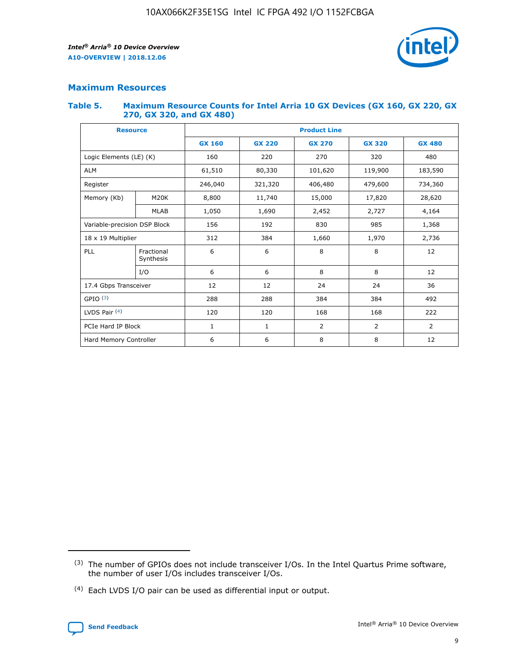

#### **Maximum Resources**

#### **Table 5. Maximum Resource Counts for Intel Arria 10 GX Devices (GX 160, GX 220, GX 270, GX 320, and GX 480)**

| <b>Resource</b>              |                         | <b>Product Line</b> |                                |                |                |                |  |  |  |
|------------------------------|-------------------------|---------------------|--------------------------------|----------------|----------------|----------------|--|--|--|
|                              |                         | <b>GX 160</b>       | <b>GX 220</b><br><b>GX 270</b> |                | <b>GX 320</b>  | <b>GX 480</b>  |  |  |  |
| Logic Elements (LE) (K)      |                         | 160                 | 220                            | 270            | 320            | 480            |  |  |  |
| <b>ALM</b>                   |                         | 61,510              | 80,330                         | 101,620        | 119,900        | 183,590        |  |  |  |
| Register                     |                         | 246,040             | 406,480<br>321,320             |                | 479,600        | 734,360        |  |  |  |
| Memory (Kb)                  | M <sub>20</sub> K       | 8,800               | 11,740                         | 15,000         | 17,820         | 28,620         |  |  |  |
|                              | <b>MLAB</b>             | 1,050               | 1,690                          | 2,452          | 2,727          | 4,164          |  |  |  |
| Variable-precision DSP Block |                         | 156                 | 192                            | 830            | 985            | 1,368          |  |  |  |
| 18 x 19 Multiplier           |                         | 312                 | 384                            | 1,970<br>1,660 |                | 2,736          |  |  |  |
| PLL                          | Fractional<br>Synthesis | 6                   | 6                              | 8              | 8              | 12             |  |  |  |
|                              | I/O                     | 6                   | 6                              | 8              | 8              | 12             |  |  |  |
| 17.4 Gbps Transceiver        |                         | 12                  | 12                             | 24             | 24             | 36             |  |  |  |
| GPIO <sup>(3)</sup>          |                         | 288                 | 288                            | 384            | 384            |                |  |  |  |
| LVDS Pair $(4)$              |                         | 120                 | 120                            | 168            | 168            | 222            |  |  |  |
| PCIe Hard IP Block           |                         | 1                   | 1                              | 2              | $\overline{2}$ | $\overline{2}$ |  |  |  |
| Hard Memory Controller       |                         | 6                   | 6                              | 8              | 8              |                |  |  |  |

<sup>(4)</sup> Each LVDS I/O pair can be used as differential input or output.



<sup>(3)</sup> The number of GPIOs does not include transceiver I/Os. In the Intel Quartus Prime software, the number of user I/Os includes transceiver I/Os.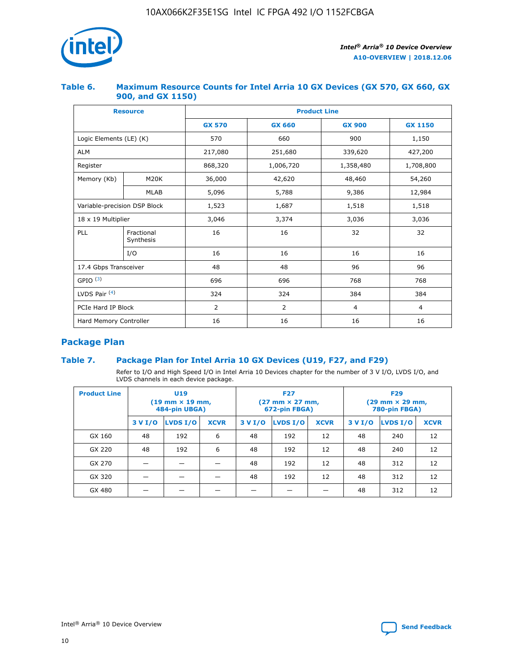

#### **Table 6. Maximum Resource Counts for Intel Arria 10 GX Devices (GX 570, GX 660, GX 900, and GX 1150)**

|                              | <b>Resource</b>         | <b>Product Line</b> |                |                |                |  |  |  |
|------------------------------|-------------------------|---------------------|----------------|----------------|----------------|--|--|--|
|                              |                         | <b>GX 570</b>       | <b>GX 660</b>  | <b>GX 900</b>  | <b>GX 1150</b> |  |  |  |
| Logic Elements (LE) (K)      |                         | 570                 | 660            | 900            | 1,150          |  |  |  |
| <b>ALM</b>                   |                         | 217,080             | 251,680        | 339,620        | 427,200        |  |  |  |
| Register                     |                         | 868,320             | 1,006,720      |                | 1,708,800      |  |  |  |
| Memory (Kb)                  | <b>M20K</b>             | 36,000              | 42,620         | 48,460         | 54,260         |  |  |  |
|                              | <b>MLAB</b>             | 5,096               | 5,788<br>9,386 |                | 12,984         |  |  |  |
| Variable-precision DSP Block |                         | 1,523               | 1,687          | 1,518          | 1,518          |  |  |  |
| $18 \times 19$ Multiplier    |                         | 3,046               | 3,374          | 3,036          | 3,036          |  |  |  |
| PLL                          | Fractional<br>Synthesis | 16                  | 16             | 32             | 32             |  |  |  |
|                              | I/O                     | 16                  | 16             | 16             | 16             |  |  |  |
| 17.4 Gbps Transceiver        |                         | 48                  | 48             | 96             | 96             |  |  |  |
| GPIO <sup>(3)</sup>          |                         | 696                 | 696            | 768            | 768            |  |  |  |
| LVDS Pair $(4)$              |                         | 324                 | 324            | 384            | 384            |  |  |  |
| PCIe Hard IP Block           |                         | 2                   | $\overline{2}$ | $\overline{4}$ | $\overline{4}$ |  |  |  |
| Hard Memory Controller       |                         | 16                  | 16             | 16             | 16             |  |  |  |

## **Package Plan**

#### **Table 7. Package Plan for Intel Arria 10 GX Devices (U19, F27, and F29)**

Refer to I/O and High Speed I/O in Intel Arria 10 Devices chapter for the number of 3 V I/O, LVDS I/O, and LVDS channels in each device package.

| <b>Product Line</b> | <b>U19</b><br>$(19 \text{ mm} \times 19 \text{ mm})$<br>484-pin UBGA) |          |             |         | <b>F27</b><br>(27 mm × 27 mm,<br>672-pin FBGA) |             | <b>F29</b><br>(29 mm × 29 mm,<br>780-pin FBGA) |          |             |  |
|---------------------|-----------------------------------------------------------------------|----------|-------------|---------|------------------------------------------------|-------------|------------------------------------------------|----------|-------------|--|
|                     | 3 V I/O                                                               | LVDS I/O | <b>XCVR</b> | 3 V I/O | <b>LVDS I/O</b>                                | <b>XCVR</b> | 3 V I/O                                        | LVDS I/O | <b>XCVR</b> |  |
| GX 160              | 48                                                                    | 192      | 6           | 48      | 192                                            | 12          | 48                                             | 240      | 12          |  |
| GX 220              | 48                                                                    | 192      | 6           | 48      | 192                                            | 12          | 48                                             | 240      | 12          |  |
| GX 270              |                                                                       |          |             | 48      | 192                                            | 12          | 48                                             | 312      | 12          |  |
| GX 320              |                                                                       |          |             | 48      | 192                                            | 12          | 48                                             | 312      | 12          |  |
| GX 480              |                                                                       |          |             |         |                                                |             | 48                                             | 312      | 12          |  |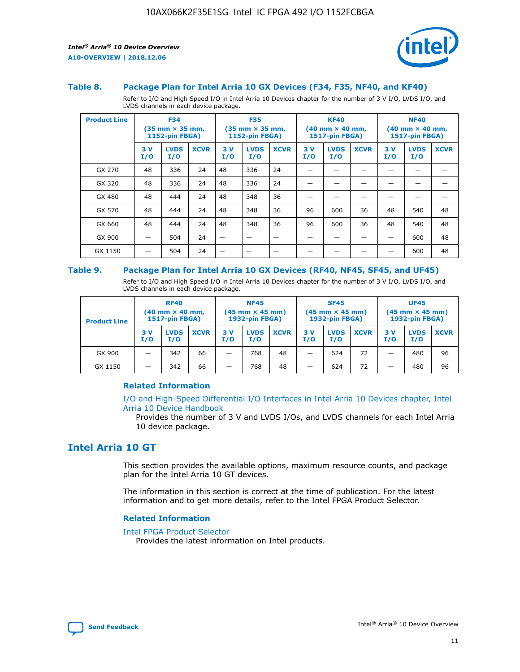

#### **Table 8. Package Plan for Intel Arria 10 GX Devices (F34, F35, NF40, and KF40)**

Refer to I/O and High Speed I/O in Intel Arria 10 Devices chapter for the number of 3 V I/O, LVDS I/O, and LVDS channels in each device package.

| <b>Product Line</b> | <b>F34</b><br>$(35 \text{ mm} \times 35 \text{ mm})$<br>1152-pin FBGA) |                    | <b>F35</b><br>$(35 \text{ mm} \times 35 \text{ mm})$<br><b>1152-pin FBGA)</b> |           | <b>KF40</b><br>$(40$ mm $\times$ 40 mm,<br>1517-pin FBGA) |             |           | <b>NF40</b><br>$(40$ mm $\times$ 40 mm,<br><b>1517-pin FBGA)</b> |             |            |                    |             |
|---------------------|------------------------------------------------------------------------|--------------------|-------------------------------------------------------------------------------|-----------|-----------------------------------------------------------|-------------|-----------|------------------------------------------------------------------|-------------|------------|--------------------|-------------|
|                     | 3V<br>I/O                                                              | <b>LVDS</b><br>I/O | <b>XCVR</b>                                                                   | 3V<br>I/O | <b>LVDS</b><br>I/O                                        | <b>XCVR</b> | 3V<br>I/O | <b>LVDS</b><br>I/O                                               | <b>XCVR</b> | 3 V<br>I/O | <b>LVDS</b><br>I/O | <b>XCVR</b> |
| GX 270              | 48                                                                     | 336                | 24                                                                            | 48        | 336                                                       | 24          |           |                                                                  |             |            |                    |             |
| GX 320              | 48                                                                     | 336                | 24                                                                            | 48        | 336                                                       | 24          |           |                                                                  |             |            |                    |             |
| GX 480              | 48                                                                     | 444                | 24                                                                            | 48        | 348                                                       | 36          |           |                                                                  |             |            |                    |             |
| GX 570              | 48                                                                     | 444                | 24                                                                            | 48        | 348                                                       | 36          | 96        | 600                                                              | 36          | 48         | 540                | 48          |
| GX 660              | 48                                                                     | 444                | 24                                                                            | 48        | 348                                                       | 36          | 96        | 600                                                              | 36          | 48         | 540                | 48          |
| GX 900              |                                                                        | 504                | 24                                                                            | -         |                                                           |             |           |                                                                  |             |            | 600                | 48          |
| GX 1150             |                                                                        | 504                | 24                                                                            |           |                                                           |             |           |                                                                  |             |            | 600                | 48          |

#### **Table 9. Package Plan for Intel Arria 10 GX Devices (RF40, NF45, SF45, and UF45)**

Refer to I/O and High Speed I/O in Intel Arria 10 Devices chapter for the number of 3 V I/O, LVDS I/O, and LVDS channels in each device package.

| <b>Product Line</b> | <b>RF40</b><br>$(40$ mm $\times$ 40 mm,<br>1517-pin FBGA) |                    |             | <b>NF45</b><br>$(45 \text{ mm} \times 45 \text{ mm})$<br><b>1932-pin FBGA)</b> |                    |             | <b>SF45</b><br>$(45 \text{ mm} \times 45 \text{ mm})$<br><b>1932-pin FBGA)</b> |                    |             | <b>UF45</b><br>$(45 \text{ mm} \times 45 \text{ mm})$<br><b>1932-pin FBGA)</b> |                    |             |
|---------------------|-----------------------------------------------------------|--------------------|-------------|--------------------------------------------------------------------------------|--------------------|-------------|--------------------------------------------------------------------------------|--------------------|-------------|--------------------------------------------------------------------------------|--------------------|-------------|
|                     | 3V<br>I/O                                                 | <b>LVDS</b><br>I/O | <b>XCVR</b> | 3 V<br>I/O                                                                     | <b>LVDS</b><br>I/O | <b>XCVR</b> | 3 V<br>I/O                                                                     | <b>LVDS</b><br>I/O | <b>XCVR</b> | 3V<br>I/O                                                                      | <b>LVDS</b><br>I/O | <b>XCVR</b> |
| GX 900              |                                                           | 342                | 66          | _                                                                              | 768                | 48          |                                                                                | 624                | 72          |                                                                                | 480                | 96          |
| GX 1150             |                                                           | 342                | 66          | _                                                                              | 768                | 48          |                                                                                | 624                | 72          |                                                                                | 480                | 96          |

#### **Related Information**

[I/O and High-Speed Differential I/O Interfaces in Intel Arria 10 Devices chapter, Intel](https://www.intel.com/content/www/us/en/programmable/documentation/sam1403482614086.html#sam1403482030321) [Arria 10 Device Handbook](https://www.intel.com/content/www/us/en/programmable/documentation/sam1403482614086.html#sam1403482030321)

Provides the number of 3 V and LVDS I/Os, and LVDS channels for each Intel Arria 10 device package.

## **Intel Arria 10 GT**

This section provides the available options, maximum resource counts, and package plan for the Intel Arria 10 GT devices.

The information in this section is correct at the time of publication. For the latest information and to get more details, refer to the Intel FPGA Product Selector.

#### **Related Information**

#### [Intel FPGA Product Selector](http://www.altera.com/products/selector/psg-selector.html)

Provides the latest information on Intel products.

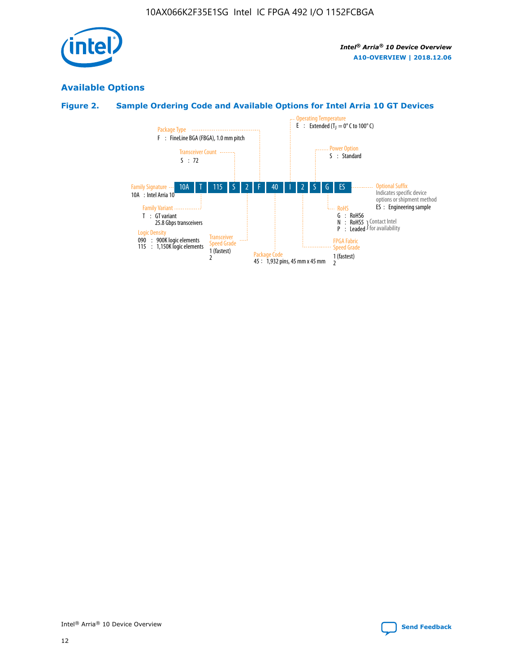

## **Available Options**

#### **Figure 2. Sample Ordering Code and Available Options for Intel Arria 10 GT Devices**

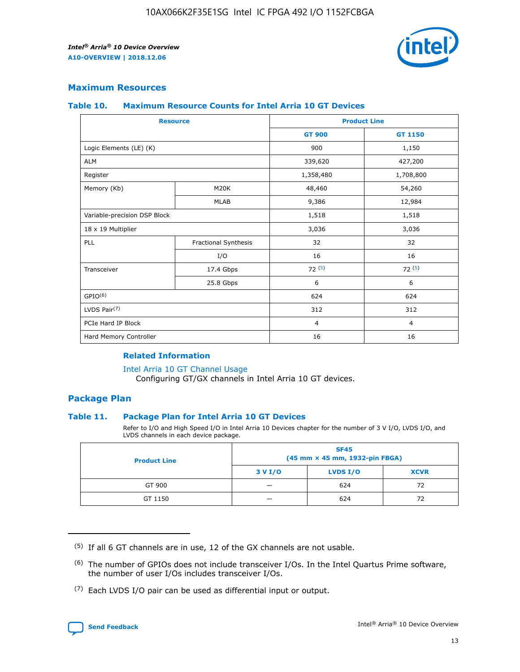

#### **Maximum Resources**

#### **Table 10. Maximum Resource Counts for Intel Arria 10 GT Devices**

| <b>Resource</b>              |                      |                | <b>Product Line</b> |  |
|------------------------------|----------------------|----------------|---------------------|--|
|                              |                      | <b>GT 900</b>  | GT 1150             |  |
| Logic Elements (LE) (K)      |                      | 900            | 1,150               |  |
| <b>ALM</b>                   |                      | 339,620        | 427,200             |  |
| Register                     |                      | 1,358,480      | 1,708,800           |  |
| Memory (Kb)                  | M <sub>20</sub> K    | 48,460         | 54,260              |  |
|                              | <b>MLAB</b>          | 9,386          | 12,984              |  |
| Variable-precision DSP Block |                      | 1,518          | 1,518               |  |
| 18 x 19 Multiplier           |                      | 3,036          | 3,036               |  |
| PLL                          | Fractional Synthesis | 32             | 32                  |  |
|                              | I/O                  | 16             | 16                  |  |
| Transceiver                  | 17.4 Gbps            | 72(5)          | 72(5)               |  |
|                              | 25.8 Gbps            | 6              | 6                   |  |
| GPIO <sup>(6)</sup>          |                      | 624            | 624                 |  |
| LVDS Pair $(7)$              |                      | 312            | 312                 |  |
| PCIe Hard IP Block           |                      | $\overline{4}$ | $\overline{4}$      |  |
| Hard Memory Controller       |                      | 16             | 16                  |  |

#### **Related Information**

#### [Intel Arria 10 GT Channel Usage](https://www.intel.com/content/www/us/en/programmable/documentation/nik1398707230472.html#nik1398707008178)

Configuring GT/GX channels in Intel Arria 10 GT devices.

#### **Package Plan**

#### **Table 11. Package Plan for Intel Arria 10 GT Devices**

Refer to I/O and High Speed I/O in Intel Arria 10 Devices chapter for the number of 3 V I/O, LVDS I/O, and LVDS channels in each device package.

| <b>Product Line</b> | <b>SF45</b><br>(45 mm × 45 mm, 1932-pin FBGA) |                 |             |  |  |  |
|---------------------|-----------------------------------------------|-----------------|-------------|--|--|--|
|                     | 3 V I/O                                       | <b>LVDS I/O</b> | <b>XCVR</b> |  |  |  |
| GT 900              |                                               | 624             | 72          |  |  |  |
| GT 1150             |                                               | 624             | 72          |  |  |  |

<sup>(7)</sup> Each LVDS I/O pair can be used as differential input or output.



 $(5)$  If all 6 GT channels are in use, 12 of the GX channels are not usable.

<sup>(6)</sup> The number of GPIOs does not include transceiver I/Os. In the Intel Quartus Prime software, the number of user I/Os includes transceiver I/Os.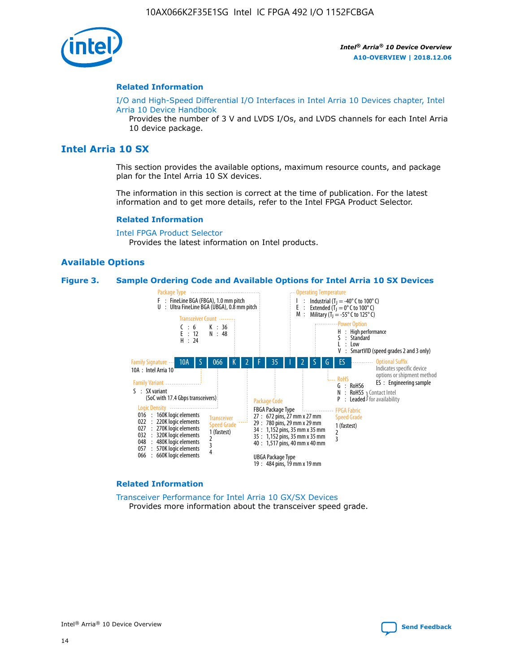

#### **Related Information**

[I/O and High-Speed Differential I/O Interfaces in Intel Arria 10 Devices chapter, Intel](https://www.intel.com/content/www/us/en/programmable/documentation/sam1403482614086.html#sam1403482030321) [Arria 10 Device Handbook](https://www.intel.com/content/www/us/en/programmable/documentation/sam1403482614086.html#sam1403482030321)

Provides the number of 3 V and LVDS I/Os, and LVDS channels for each Intel Arria 10 device package.

## **Intel Arria 10 SX**

This section provides the available options, maximum resource counts, and package plan for the Intel Arria 10 SX devices.

The information in this section is correct at the time of publication. For the latest information and to get more details, refer to the Intel FPGA Product Selector.

#### **Related Information**

[Intel FPGA Product Selector](http://www.altera.com/products/selector/psg-selector.html) Provides the latest information on Intel products.

#### **Available Options**

#### **Figure 3. Sample Ordering Code and Available Options for Intel Arria 10 SX Devices**



#### **Related Information**

[Transceiver Performance for Intel Arria 10 GX/SX Devices](https://www.intel.com/content/www/us/en/programmable/documentation/mcn1413182292568.html#mcn1413213965502) Provides more information about the transceiver speed grade.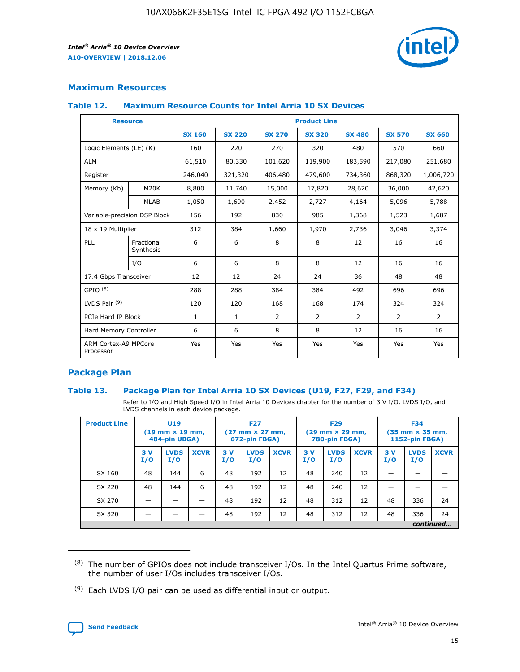

#### **Maximum Resources**

#### **Table 12. Maximum Resource Counts for Intel Arria 10 SX Devices**

| <b>Resource</b>                   |                         | <b>Product Line</b> |               |                |                |                |                |                |  |  |  |
|-----------------------------------|-------------------------|---------------------|---------------|----------------|----------------|----------------|----------------|----------------|--|--|--|
|                                   |                         | <b>SX 160</b>       | <b>SX 220</b> | <b>SX 270</b>  | <b>SX 320</b>  | <b>SX 480</b>  | <b>SX 570</b>  | <b>SX 660</b>  |  |  |  |
| Logic Elements (LE) (K)           |                         | 160                 | 220           | 270            | 320            | 480            | 570            | 660            |  |  |  |
| <b>ALM</b>                        |                         | 61,510              | 80,330        | 101,620        | 119,900        | 183,590        | 217,080        | 251,680        |  |  |  |
| Register                          |                         | 246,040             | 321,320       | 406,480        | 479,600        | 734,360        | 868,320        | 1,006,720      |  |  |  |
| Memory (Kb)                       | M <sub>20</sub> K       | 8,800               | 11,740        | 15,000         | 17,820         | 28,620         | 36,000         | 42,620         |  |  |  |
|                                   | <b>MLAB</b>             | 1,050               | 1,690         | 2,452          | 2,727          | 4,164          | 5,096          | 5,788          |  |  |  |
| Variable-precision DSP Block      |                         | 156                 | 192           | 830            | 985            | 1,368          | 1,523          | 1,687          |  |  |  |
| 18 x 19 Multiplier                |                         | 312                 | 384           | 1,660          | 1,970          | 2,736          | 3,046          | 3,374          |  |  |  |
| PLL                               | Fractional<br>Synthesis | 6                   | 6             | 8              | 8              | 12             | 16             | 16             |  |  |  |
|                                   | I/O                     | 6                   | 6             | 8              | 8              | 12             | 16             | 16             |  |  |  |
| 17.4 Gbps Transceiver             |                         | 12                  | 12            | 24             | 24             | 36             | 48             | 48             |  |  |  |
| GPIO <sup>(8)</sup>               |                         | 288                 | 288           | 384            | 384            | 492            | 696            | 696            |  |  |  |
| LVDS Pair $(9)$                   |                         | 120                 | 120           | 168            | 168            | 174            | 324            | 324            |  |  |  |
| PCIe Hard IP Block                |                         | $\mathbf{1}$        | $\mathbf{1}$  | $\overline{2}$ | $\overline{2}$ | $\overline{2}$ | $\overline{2}$ | $\overline{2}$ |  |  |  |
| Hard Memory Controller            |                         | 6                   | 6             | 8              | 8              | 12             | 16             | 16             |  |  |  |
| ARM Cortex-A9 MPCore<br>Processor |                         | Yes                 | Yes           | Yes            | Yes            | Yes            | Yes            | <b>Yes</b>     |  |  |  |

#### **Package Plan**

#### **Table 13. Package Plan for Intel Arria 10 SX Devices (U19, F27, F29, and F34)**

Refer to I/O and High Speed I/O in Intel Arria 10 Devices chapter for the number of 3 V I/O, LVDS I/O, and LVDS channels in each device package.

| <b>Product Line</b> | <b>U19</b><br>$(19 \text{ mm} \times 19 \text{ mm})$<br>484-pin UBGA) |                    |             | <b>F27</b><br>$(27 \text{ mm} \times 27 \text{ mm})$<br>672-pin FBGA) |                    | <b>F29</b><br>$(29$ mm $\times$ 29 mm,<br>780-pin FBGA) |            |                    | <b>F34</b><br>$(35 \text{ mm} \times 35 \text{ mm})$<br>1152-pin FBGA) |           |                    |             |
|---------------------|-----------------------------------------------------------------------|--------------------|-------------|-----------------------------------------------------------------------|--------------------|---------------------------------------------------------|------------|--------------------|------------------------------------------------------------------------|-----------|--------------------|-------------|
|                     | 3V<br>I/O                                                             | <b>LVDS</b><br>I/O | <b>XCVR</b> | 3V<br>I/O                                                             | <b>LVDS</b><br>I/O | <b>XCVR</b>                                             | 3 V<br>I/O | <b>LVDS</b><br>I/O | <b>XCVR</b>                                                            | 3V<br>I/O | <b>LVDS</b><br>I/O | <b>XCVR</b> |
| SX 160              | 48                                                                    | 144                | 6           | 48                                                                    | 192                | 12                                                      | 48         | 240                | 12                                                                     | –         |                    |             |
| SX 220              | 48                                                                    | 144                | 6           | 48                                                                    | 192                | 12                                                      | 48         | 240                | 12                                                                     |           |                    |             |
| SX 270              |                                                                       |                    |             | 48                                                                    | 192                | 12                                                      | 48         | 312                | 12                                                                     | 48        | 336                | 24          |
| SX 320              |                                                                       |                    |             | 48                                                                    | 192                | 12                                                      | 48         | 312                | 12                                                                     | 48        | 336                | 24          |
|                     | continued                                                             |                    |             |                                                                       |                    |                                                         |            |                    |                                                                        |           |                    |             |

 $(8)$  The number of GPIOs does not include transceiver I/Os. In the Intel Quartus Prime software, the number of user I/Os includes transceiver I/Os.

 $(9)$  Each LVDS I/O pair can be used as differential input or output.

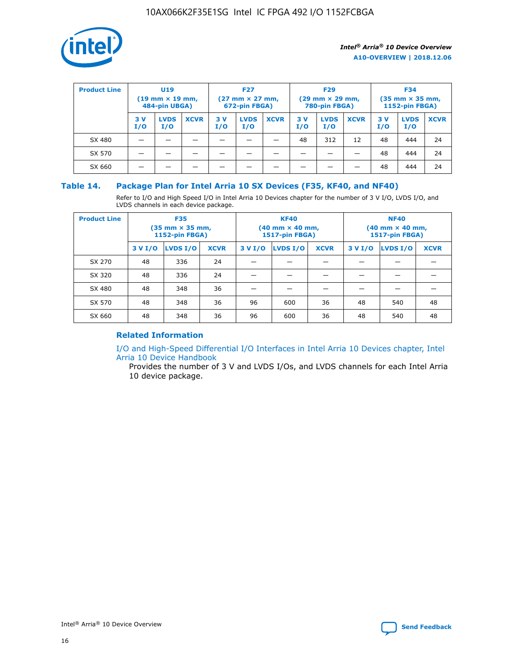

| <b>Product Line</b> | <b>U19</b><br>$(19 \text{ mm} \times 19 \text{ mm})$<br>484-pin UBGA) |                    | <b>F27</b><br>$(27 \text{ mm} \times 27 \text{ mm})$<br>672-pin FBGA) |           |                    | <b>F29</b><br>$(29$ mm $\times$ 29 mm,<br>780-pin FBGA) |           |                    | <b>F34</b><br>$(35$ mm $\times$ 35 mm,<br><b>1152-pin FBGA)</b> |           |                    |             |
|---------------------|-----------------------------------------------------------------------|--------------------|-----------------------------------------------------------------------|-----------|--------------------|---------------------------------------------------------|-----------|--------------------|-----------------------------------------------------------------|-----------|--------------------|-------------|
|                     | 3 V<br>I/O                                                            | <b>LVDS</b><br>I/O | <b>XCVR</b>                                                           | 3V<br>I/O | <b>LVDS</b><br>I/O | <b>XCVR</b>                                             | 3V<br>I/O | <b>LVDS</b><br>I/O | <b>XCVR</b>                                                     | 3V<br>I/O | <b>LVDS</b><br>I/O | <b>XCVR</b> |
| SX 480              |                                                                       |                    |                                                                       |           |                    |                                                         | 48        | 312                | 12                                                              | 48        | 444                | 24          |
| SX 570              |                                                                       |                    |                                                                       |           |                    |                                                         |           |                    |                                                                 | 48        | 444                | 24          |
| SX 660              |                                                                       |                    |                                                                       |           |                    |                                                         |           |                    |                                                                 | 48        | 444                | 24          |

#### **Table 14. Package Plan for Intel Arria 10 SX Devices (F35, KF40, and NF40)**

Refer to I/O and High Speed I/O in Intel Arria 10 Devices chapter for the number of 3 V I/O, LVDS I/O, and LVDS channels in each device package.

| <b>Product Line</b> | <b>F35</b><br>(35 mm × 35 mm,<br><b>1152-pin FBGA)</b> |          |             |                                           | <b>KF40</b><br>(40 mm × 40 mm,<br>1517-pin FBGA) |    | <b>NF40</b><br>$(40 \text{ mm} \times 40 \text{ mm})$<br>1517-pin FBGA) |          |             |  |
|---------------------|--------------------------------------------------------|----------|-------------|-------------------------------------------|--------------------------------------------------|----|-------------------------------------------------------------------------|----------|-------------|--|
|                     | 3 V I/O                                                | LVDS I/O | <b>XCVR</b> | <b>LVDS I/O</b><br>3 V I/O<br><b>XCVR</b> |                                                  |    | 3 V I/O                                                                 | LVDS I/O | <b>XCVR</b> |  |
| SX 270              | 48                                                     | 336      | 24          |                                           |                                                  |    |                                                                         |          |             |  |
| SX 320              | 48                                                     | 336      | 24          |                                           |                                                  |    |                                                                         |          |             |  |
| SX 480              | 48                                                     | 348      | 36          |                                           |                                                  |    |                                                                         |          |             |  |
| SX 570              | 48                                                     | 348      | 36          | 96                                        | 600                                              | 36 | 48                                                                      | 540      | 48          |  |
| SX 660              | 48                                                     | 348      | 36          | 96                                        | 600                                              | 36 | 48                                                                      | 540      | 48          |  |

#### **Related Information**

[I/O and High-Speed Differential I/O Interfaces in Intel Arria 10 Devices chapter, Intel](https://www.intel.com/content/www/us/en/programmable/documentation/sam1403482614086.html#sam1403482030321) [Arria 10 Device Handbook](https://www.intel.com/content/www/us/en/programmable/documentation/sam1403482614086.html#sam1403482030321)

Provides the number of 3 V and LVDS I/Os, and LVDS channels for each Intel Arria 10 device package.

Intel<sup>®</sup> Arria<sup>®</sup> 10 Device Overview **[Send Feedback](mailto:FPGAtechdocfeedback@intel.com?subject=Feedback%20on%20Intel%20Arria%2010%20Device%20Overview%20(A10-OVERVIEW%202018.12.06)&body=We%20appreciate%20your%20feedback.%20In%20your%20comments,%20also%20specify%20the%20page%20number%20or%20paragraph.%20Thank%20you.)** Send Feedback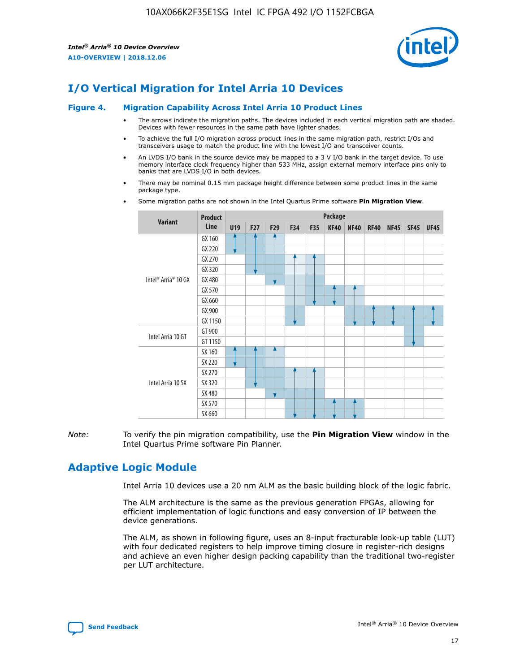

## **I/O Vertical Migration for Intel Arria 10 Devices**

#### **Figure 4. Migration Capability Across Intel Arria 10 Product Lines**

- The arrows indicate the migration paths. The devices included in each vertical migration path are shaded. Devices with fewer resources in the same path have lighter shades.
- To achieve the full I/O migration across product lines in the same migration path, restrict I/Os and transceivers usage to match the product line with the lowest I/O and transceiver counts.
- An LVDS I/O bank in the source device may be mapped to a 3 V I/O bank in the target device. To use memory interface clock frequency higher than 533 MHz, assign external memory interface pins only to banks that are LVDS I/O in both devices.
- There may be nominal 0.15 mm package height difference between some product lines in the same package type.
	- **Variant Product Line Package U19 F27 F29 F34 F35 KF40 NF40 RF40 NF45 SF45 UF45** Intel® Arria® 10 GX GX 160 GX 220 GX 270 GX 320 GX 480 GX 570 GX 660 GX 900 GX 1150 Intel Arria 10 GT GT 900 GT 1150 Intel Arria 10 SX SX 160 SX 220 SX 270 SX 320 SX 480 SX 570 SX 660
- Some migration paths are not shown in the Intel Quartus Prime software **Pin Migration View**.

*Note:* To verify the pin migration compatibility, use the **Pin Migration View** window in the Intel Quartus Prime software Pin Planner.

## **Adaptive Logic Module**

Intel Arria 10 devices use a 20 nm ALM as the basic building block of the logic fabric.

The ALM architecture is the same as the previous generation FPGAs, allowing for efficient implementation of logic functions and easy conversion of IP between the device generations.

The ALM, as shown in following figure, uses an 8-input fracturable look-up table (LUT) with four dedicated registers to help improve timing closure in register-rich designs and achieve an even higher design packing capability than the traditional two-register per LUT architecture.

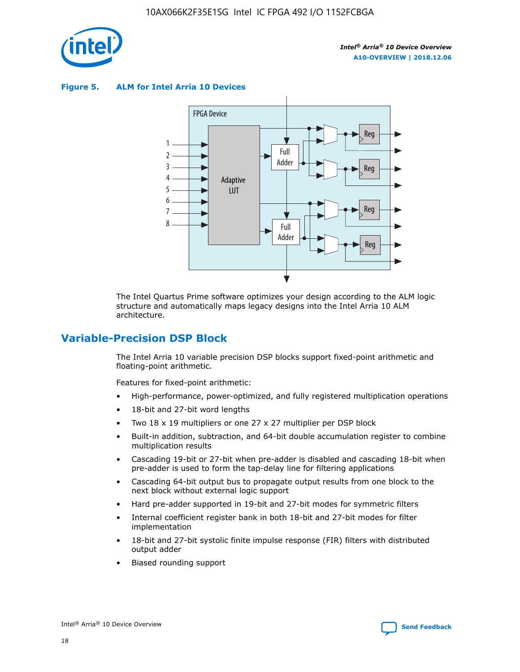

**Figure 5. ALM for Intel Arria 10 Devices**



The Intel Quartus Prime software optimizes your design according to the ALM logic structure and automatically maps legacy designs into the Intel Arria 10 ALM architecture.

## **Variable-Precision DSP Block**

The Intel Arria 10 variable precision DSP blocks support fixed-point arithmetic and floating-point arithmetic.

Features for fixed-point arithmetic:

- High-performance, power-optimized, and fully registered multiplication operations
- 18-bit and 27-bit word lengths
- Two 18 x 19 multipliers or one 27 x 27 multiplier per DSP block
- Built-in addition, subtraction, and 64-bit double accumulation register to combine multiplication results
- Cascading 19-bit or 27-bit when pre-adder is disabled and cascading 18-bit when pre-adder is used to form the tap-delay line for filtering applications
- Cascading 64-bit output bus to propagate output results from one block to the next block without external logic support
- Hard pre-adder supported in 19-bit and 27-bit modes for symmetric filters
- Internal coefficient register bank in both 18-bit and 27-bit modes for filter implementation
- 18-bit and 27-bit systolic finite impulse response (FIR) filters with distributed output adder
- Biased rounding support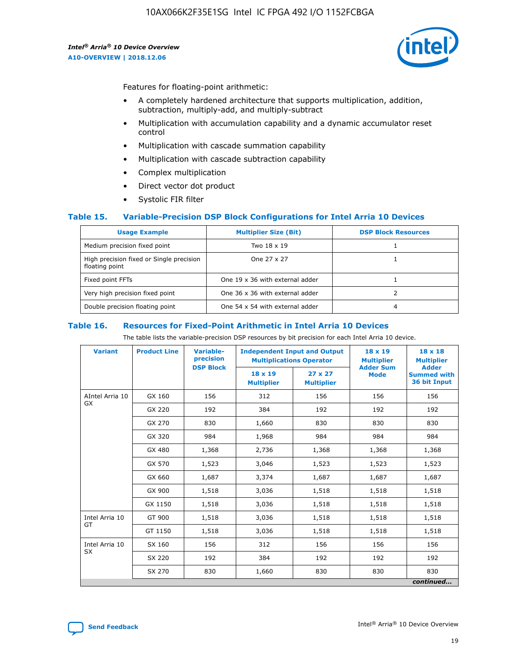

Features for floating-point arithmetic:

- A completely hardened architecture that supports multiplication, addition, subtraction, multiply-add, and multiply-subtract
- Multiplication with accumulation capability and a dynamic accumulator reset control
- Multiplication with cascade summation capability
- Multiplication with cascade subtraction capability
- Complex multiplication
- Direct vector dot product
- Systolic FIR filter

#### **Table 15. Variable-Precision DSP Block Configurations for Intel Arria 10 Devices**

| <b>Usage Example</b>                                       | <b>Multiplier Size (Bit)</b>    | <b>DSP Block Resources</b> |
|------------------------------------------------------------|---------------------------------|----------------------------|
| Medium precision fixed point                               | Two 18 x 19                     |                            |
| High precision fixed or Single precision<br>floating point | One 27 x 27                     |                            |
| Fixed point FFTs                                           | One 19 x 36 with external adder |                            |
| Very high precision fixed point                            | One 36 x 36 with external adder |                            |
| Double precision floating point                            | One 54 x 54 with external adder | 4                          |

#### **Table 16. Resources for Fixed-Point Arithmetic in Intel Arria 10 Devices**

The table lists the variable-precision DSP resources by bit precision for each Intel Arria 10 device.

| <b>Variant</b>  | <b>Product Line</b> | <b>Variable-</b><br>precision<br><b>DSP Block</b> | <b>Independent Input and Output</b><br><b>Multiplications Operator</b> |                                     | 18 x 19<br><b>Multiplier</b><br><b>Adder Sum</b> | $18 \times 18$<br><b>Multiplier</b><br><b>Adder</b> |
|-----------------|---------------------|---------------------------------------------------|------------------------------------------------------------------------|-------------------------------------|--------------------------------------------------|-----------------------------------------------------|
|                 |                     |                                                   | 18 x 19<br><b>Multiplier</b>                                           | $27 \times 27$<br><b>Multiplier</b> | <b>Mode</b>                                      | <b>Summed with</b><br>36 bit Input                  |
| AIntel Arria 10 | GX 160              | 156                                               | 312                                                                    | 156                                 | 156                                              | 156                                                 |
| GX              | GX 220              | 192                                               | 384                                                                    | 192                                 | 192                                              | 192                                                 |
|                 | GX 270              | 830                                               | 1,660                                                                  | 830                                 | 830                                              | 830                                                 |
|                 | GX 320              | 984                                               | 1,968                                                                  | 984                                 | 984                                              | 984                                                 |
|                 | GX 480              | 1,368                                             | 2,736                                                                  | 1,368                               | 1,368                                            | 1,368                                               |
|                 | GX 570              | 1,523                                             | 3,046                                                                  | 1,523                               | 1,523                                            | 1,523                                               |
|                 | GX 660              | 1,687                                             | 3,374                                                                  | 1,687                               | 1,687                                            | 1,687                                               |
|                 | GX 900              | 1,518                                             | 3,036                                                                  | 1,518                               | 1,518                                            | 1,518                                               |
|                 | GX 1150             | 1,518                                             | 3,036                                                                  | 1,518                               | 1,518                                            | 1,518                                               |
| Intel Arria 10  | GT 900              | 1,518                                             | 3,036                                                                  | 1,518                               | 1,518                                            | 1,518                                               |
| GT              | GT 1150             | 1,518                                             | 3,036                                                                  | 1,518                               | 1,518                                            | 1,518                                               |
| Intel Arria 10  | SX 160              | 156                                               | 312                                                                    | 156                                 | 156                                              | 156                                                 |
| <b>SX</b>       | SX 220              | 192                                               | 384                                                                    | 192                                 | 192                                              | 192                                                 |
|                 | SX 270              | 830                                               | 830<br>1,660                                                           |                                     | 830                                              | 830                                                 |
|                 |                     |                                                   |                                                                        |                                     |                                                  | continued                                           |

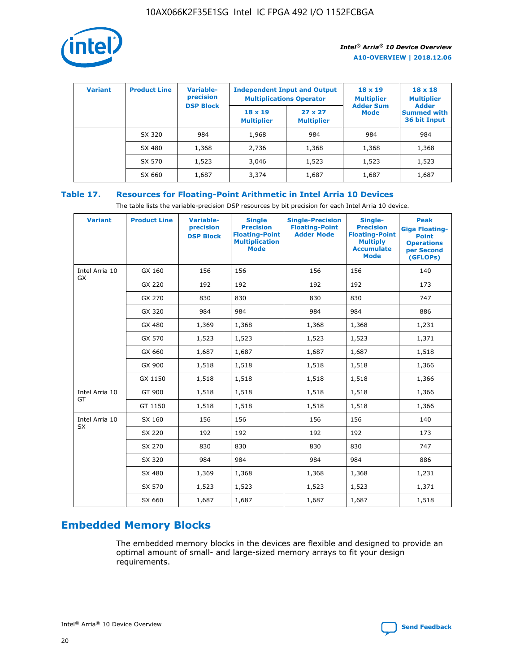

| <b>Variant</b> | <b>Product Line</b> | <b>Variable-</b><br>precision | <b>Multiplications Operator</b>     | <b>Independent Input and Output</b> | $18 \times 19$<br><b>Multiplier</b> | $18 \times 18$<br><b>Multiplier</b><br><b>Adder</b> |  |
|----------------|---------------------|-------------------------------|-------------------------------------|-------------------------------------|-------------------------------------|-----------------------------------------------------|--|
|                |                     | <b>DSP Block</b>              | $18 \times 19$<br><b>Multiplier</b> | $27 \times 27$<br><b>Multiplier</b> | <b>Adder Sum</b><br><b>Mode</b>     | <b>Summed with</b><br>36 bit Input                  |  |
|                | SX 320              | 984                           | 1,968                               | 984                                 | 984                                 | 984                                                 |  |
|                | SX 480              | 1,368                         | 2,736                               | 1,368                               | 1,368                               | 1,368                                               |  |
|                | SX 570              | 1,523                         | 3,046                               | 1,523                               | 1,523                               | 1,523                                               |  |
|                | SX 660              | 1,687                         | 3,374                               | 1,687                               | 1,687                               | 1,687                                               |  |

## **Table 17. Resources for Floating-Point Arithmetic in Intel Arria 10 Devices**

The table lists the variable-precision DSP resources by bit precision for each Intel Arria 10 device.

| <b>Variant</b> | <b>Product Line</b> | <b>Variable-</b><br>precision<br><b>DSP Block</b> | <b>Single</b><br><b>Precision</b><br><b>Floating-Point</b><br><b>Multiplication</b><br><b>Mode</b> | <b>Single-Precision</b><br><b>Floating-Point</b><br><b>Adder Mode</b> | Single-<br><b>Precision</b><br><b>Floating-Point</b><br><b>Multiply</b><br><b>Accumulate</b><br><b>Mode</b> | <b>Peak</b><br><b>Giga Floating-</b><br><b>Point</b><br><b>Operations</b><br>per Second<br>(GFLOPs) |
|----------------|---------------------|---------------------------------------------------|----------------------------------------------------------------------------------------------------|-----------------------------------------------------------------------|-------------------------------------------------------------------------------------------------------------|-----------------------------------------------------------------------------------------------------|
| Intel Arria 10 | GX 160              | 156                                               | 156                                                                                                | 156                                                                   | 156                                                                                                         | 140                                                                                                 |
| GX             | GX 220              | 192                                               | 192                                                                                                | 192                                                                   | 192                                                                                                         | 173                                                                                                 |
|                | GX 270              | 830                                               | 830                                                                                                | 830                                                                   | 830                                                                                                         | 747                                                                                                 |
|                | GX 320              | 984                                               | 984                                                                                                | 984                                                                   | 984                                                                                                         | 886                                                                                                 |
|                | GX 480              | 1,369                                             | 1,368                                                                                              | 1,368                                                                 | 1,368                                                                                                       | 1,231                                                                                               |
|                | GX 570              | 1,523                                             | 1,523                                                                                              | 1,523                                                                 | 1,523                                                                                                       | 1,371                                                                                               |
|                | GX 660              | 1,687                                             | 1,687                                                                                              | 1,687                                                                 | 1,687                                                                                                       | 1,518                                                                                               |
|                | GX 900              | 1,518                                             | 1,518                                                                                              | 1,518                                                                 | 1,518                                                                                                       | 1,366                                                                                               |
|                | GX 1150             | 1,518                                             | 1,518                                                                                              | 1,518                                                                 | 1,518                                                                                                       | 1,366                                                                                               |
| Intel Arria 10 | GT 900              | 1,518                                             | 1,518                                                                                              | 1,518                                                                 | 1,518                                                                                                       | 1,366                                                                                               |
| GT             | GT 1150             | 1,518                                             | 1,518                                                                                              | 1,518                                                                 | 1,518                                                                                                       | 1,366                                                                                               |
| Intel Arria 10 | SX 160              | 156                                               | 156                                                                                                | 156                                                                   | 156                                                                                                         | 140                                                                                                 |
| <b>SX</b>      | SX 220              | 192                                               | 192                                                                                                | 192                                                                   | 192                                                                                                         | 173                                                                                                 |
|                | SX 270              | 830                                               | 830                                                                                                | 830                                                                   | 830                                                                                                         | 747                                                                                                 |
|                | SX 320              | 984                                               | 984                                                                                                | 984                                                                   | 984                                                                                                         | 886                                                                                                 |
|                | SX 480              | 1,369                                             | 1,368                                                                                              | 1,368                                                                 | 1,368                                                                                                       | 1,231                                                                                               |
|                | SX 570              | 1,523                                             | 1,523                                                                                              | 1,523                                                                 | 1,523                                                                                                       | 1,371                                                                                               |
|                | SX 660              | 1,687                                             | 1,687                                                                                              | 1,687                                                                 | 1,687                                                                                                       | 1,518                                                                                               |

# **Embedded Memory Blocks**

The embedded memory blocks in the devices are flexible and designed to provide an optimal amount of small- and large-sized memory arrays to fit your design requirements.

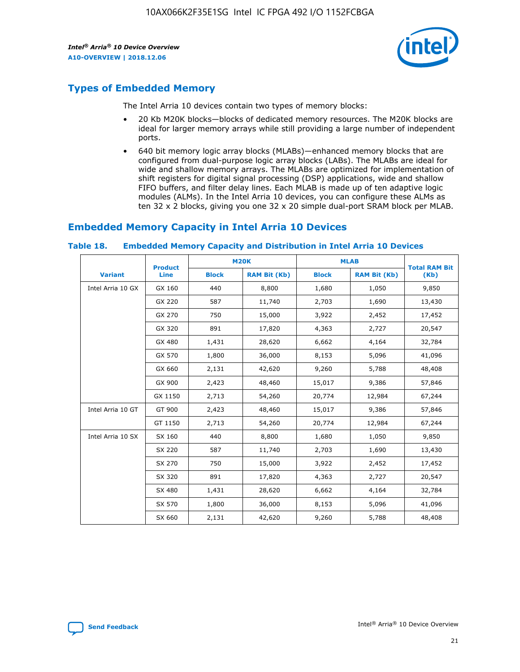

## **Types of Embedded Memory**

The Intel Arria 10 devices contain two types of memory blocks:

- 20 Kb M20K blocks—blocks of dedicated memory resources. The M20K blocks are ideal for larger memory arrays while still providing a large number of independent ports.
- 640 bit memory logic array blocks (MLABs)—enhanced memory blocks that are configured from dual-purpose logic array blocks (LABs). The MLABs are ideal for wide and shallow memory arrays. The MLABs are optimized for implementation of shift registers for digital signal processing (DSP) applications, wide and shallow FIFO buffers, and filter delay lines. Each MLAB is made up of ten adaptive logic modules (ALMs). In the Intel Arria 10 devices, you can configure these ALMs as ten 32 x 2 blocks, giving you one 32 x 20 simple dual-port SRAM block per MLAB.

## **Embedded Memory Capacity in Intel Arria 10 Devices**

|                   | <b>Product</b> |              | <b>M20K</b>         | <b>MLAB</b>  |                     | <b>Total RAM Bit</b> |
|-------------------|----------------|--------------|---------------------|--------------|---------------------|----------------------|
| <b>Variant</b>    | Line           | <b>Block</b> | <b>RAM Bit (Kb)</b> | <b>Block</b> | <b>RAM Bit (Kb)</b> | (Kb)                 |
| Intel Arria 10 GX | GX 160         | 440          | 8,800               | 1,680        | 1,050               | 9,850                |
|                   | GX 220         | 587          | 11,740              | 2,703        | 1,690               | 13,430               |
|                   | GX 270         | 750          | 15,000              | 3,922        | 2,452               | 17,452               |
|                   | GX 320         | 891          | 17,820              | 4,363        | 2,727               | 20,547               |
|                   | GX 480         | 1,431        | 28,620              | 6,662        | 4,164               | 32,784               |
|                   | GX 570         | 1,800        | 36,000              | 8,153        | 5,096               | 41,096               |
|                   | GX 660         | 2,131        | 42,620              | 9,260        | 5,788               | 48,408               |
|                   | GX 900         | 2,423        | 48,460              | 15,017       | 9,386               | 57,846               |
|                   | GX 1150        | 2,713        | 54,260              | 20,774       | 12,984              | 67,244               |
| Intel Arria 10 GT | GT 900         | 2,423        | 48,460              | 15,017       | 9,386               | 57,846               |
|                   | GT 1150        | 2,713        | 54,260              | 20,774       | 12,984              | 67,244               |
| Intel Arria 10 SX | SX 160         | 440          | 8,800               | 1,680        | 1,050               | 9,850                |
|                   | SX 220         | 587          | 11,740              | 2,703        | 1,690               | 13,430               |
|                   | SX 270         | 750          | 15,000              | 3,922        | 2,452               | 17,452               |
|                   | SX 320         | 891          | 17,820              | 4,363        | 2,727               | 20,547               |
|                   | SX 480         | 1,431        | 28,620              | 6,662        | 4,164               | 32,784               |
|                   | SX 570         | 1,800        | 36,000              | 8,153        | 5,096               | 41,096               |
|                   | SX 660         | 2,131        | 42,620              | 9,260        | 5,788               | 48,408               |

#### **Table 18. Embedded Memory Capacity and Distribution in Intel Arria 10 Devices**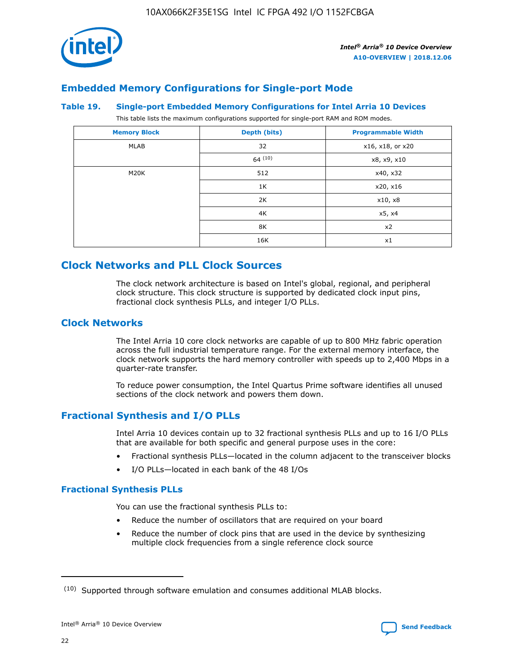

## **Embedded Memory Configurations for Single-port Mode**

#### **Table 19. Single-port Embedded Memory Configurations for Intel Arria 10 Devices**

This table lists the maximum configurations supported for single-port RAM and ROM modes.

| <b>Memory Block</b> | Depth (bits) | <b>Programmable Width</b> |
|---------------------|--------------|---------------------------|
| MLAB                | 32           | x16, x18, or x20          |
|                     | 64(10)       | x8, x9, x10               |
| M20K                | 512          | x40, x32                  |
|                     | 1K           | x20, x16                  |
|                     | 2K           | x10, x8                   |
|                     | 4K           | x5, x4                    |
|                     | 8K           | x2                        |
|                     | 16K          | x1                        |

## **Clock Networks and PLL Clock Sources**

The clock network architecture is based on Intel's global, regional, and peripheral clock structure. This clock structure is supported by dedicated clock input pins, fractional clock synthesis PLLs, and integer I/O PLLs.

#### **Clock Networks**

The Intel Arria 10 core clock networks are capable of up to 800 MHz fabric operation across the full industrial temperature range. For the external memory interface, the clock network supports the hard memory controller with speeds up to 2,400 Mbps in a quarter-rate transfer.

To reduce power consumption, the Intel Quartus Prime software identifies all unused sections of the clock network and powers them down.

#### **Fractional Synthesis and I/O PLLs**

Intel Arria 10 devices contain up to 32 fractional synthesis PLLs and up to 16 I/O PLLs that are available for both specific and general purpose uses in the core:

- Fractional synthesis PLLs—located in the column adjacent to the transceiver blocks
- I/O PLLs—located in each bank of the 48 I/Os

#### **Fractional Synthesis PLLs**

You can use the fractional synthesis PLLs to:

- Reduce the number of oscillators that are required on your board
- Reduce the number of clock pins that are used in the device by synthesizing multiple clock frequencies from a single reference clock source

<sup>(10)</sup> Supported through software emulation and consumes additional MLAB blocks.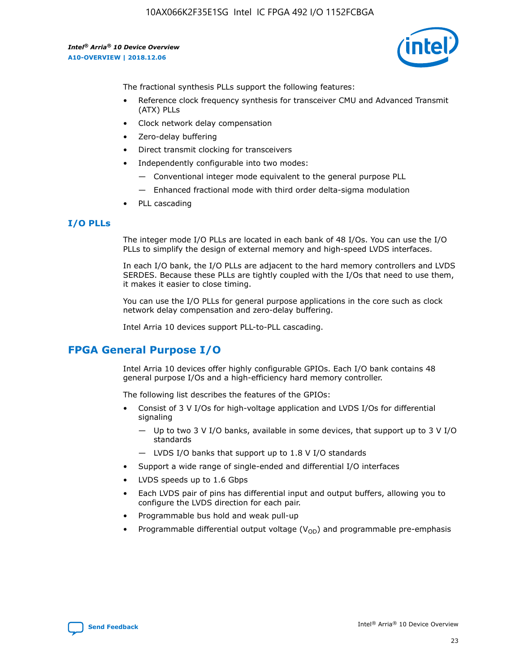10AX066K2F35E1SG Intel IC FPGA 492 I/O 1152FCBGA

*Intel® Arria® 10 Device Overview* **A10-OVERVIEW | 2018.12.06**



The fractional synthesis PLLs support the following features:

- Reference clock frequency synthesis for transceiver CMU and Advanced Transmit (ATX) PLLs
- Clock network delay compensation
- Zero-delay buffering
- Direct transmit clocking for transceivers
- Independently configurable into two modes:
	- Conventional integer mode equivalent to the general purpose PLL
	- Enhanced fractional mode with third order delta-sigma modulation
- PLL cascading

#### **I/O PLLs**

The integer mode I/O PLLs are located in each bank of 48 I/Os. You can use the I/O PLLs to simplify the design of external memory and high-speed LVDS interfaces.

In each I/O bank, the I/O PLLs are adjacent to the hard memory controllers and LVDS SERDES. Because these PLLs are tightly coupled with the I/Os that need to use them, it makes it easier to close timing.

You can use the I/O PLLs for general purpose applications in the core such as clock network delay compensation and zero-delay buffering.

Intel Arria 10 devices support PLL-to-PLL cascading.

## **FPGA General Purpose I/O**

Intel Arria 10 devices offer highly configurable GPIOs. Each I/O bank contains 48 general purpose I/Os and a high-efficiency hard memory controller.

The following list describes the features of the GPIOs:

- Consist of 3 V I/Os for high-voltage application and LVDS I/Os for differential signaling
	- Up to two 3 V I/O banks, available in some devices, that support up to 3 V I/O standards
	- LVDS I/O banks that support up to 1.8 V I/O standards
- Support a wide range of single-ended and differential I/O interfaces
- LVDS speeds up to 1.6 Gbps
- Each LVDS pair of pins has differential input and output buffers, allowing you to configure the LVDS direction for each pair.
- Programmable bus hold and weak pull-up
- Programmable differential output voltage  $(V_{OD})$  and programmable pre-emphasis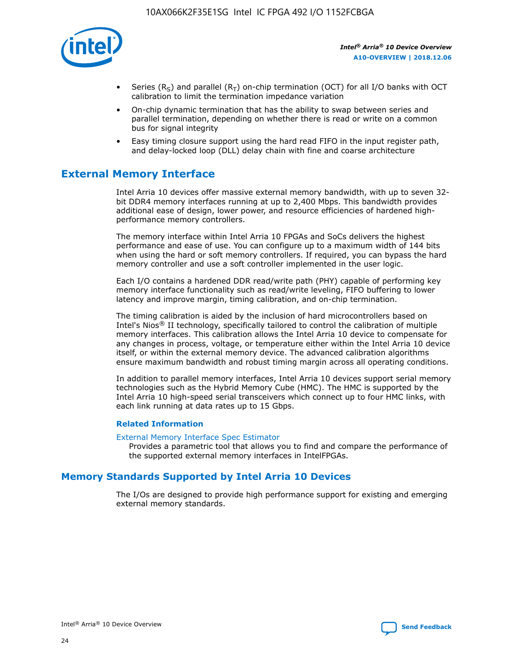

- Series (R<sub>S</sub>) and parallel (R<sub>T</sub>) on-chip termination (OCT) for all I/O banks with OCT calibration to limit the termination impedance variation
- On-chip dynamic termination that has the ability to swap between series and parallel termination, depending on whether there is read or write on a common bus for signal integrity
- Easy timing closure support using the hard read FIFO in the input register path, and delay-locked loop (DLL) delay chain with fine and coarse architecture

## **External Memory Interface**

Intel Arria 10 devices offer massive external memory bandwidth, with up to seven 32 bit DDR4 memory interfaces running at up to 2,400 Mbps. This bandwidth provides additional ease of design, lower power, and resource efficiencies of hardened highperformance memory controllers.

The memory interface within Intel Arria 10 FPGAs and SoCs delivers the highest performance and ease of use. You can configure up to a maximum width of 144 bits when using the hard or soft memory controllers. If required, you can bypass the hard memory controller and use a soft controller implemented in the user logic.

Each I/O contains a hardened DDR read/write path (PHY) capable of performing key memory interface functionality such as read/write leveling, FIFO buffering to lower latency and improve margin, timing calibration, and on-chip termination.

The timing calibration is aided by the inclusion of hard microcontrollers based on Intel's Nios® II technology, specifically tailored to control the calibration of multiple memory interfaces. This calibration allows the Intel Arria 10 device to compensate for any changes in process, voltage, or temperature either within the Intel Arria 10 device itself, or within the external memory device. The advanced calibration algorithms ensure maximum bandwidth and robust timing margin across all operating conditions.

In addition to parallel memory interfaces, Intel Arria 10 devices support serial memory technologies such as the Hybrid Memory Cube (HMC). The HMC is supported by the Intel Arria 10 high-speed serial transceivers which connect up to four HMC links, with each link running at data rates up to 15 Gbps.

#### **Related Information**

#### [External Memory Interface Spec Estimator](http://www.altera.com/technology/memory/estimator/mem-emif-index.html)

Provides a parametric tool that allows you to find and compare the performance of the supported external memory interfaces in IntelFPGAs.

## **Memory Standards Supported by Intel Arria 10 Devices**

The I/Os are designed to provide high performance support for existing and emerging external memory standards.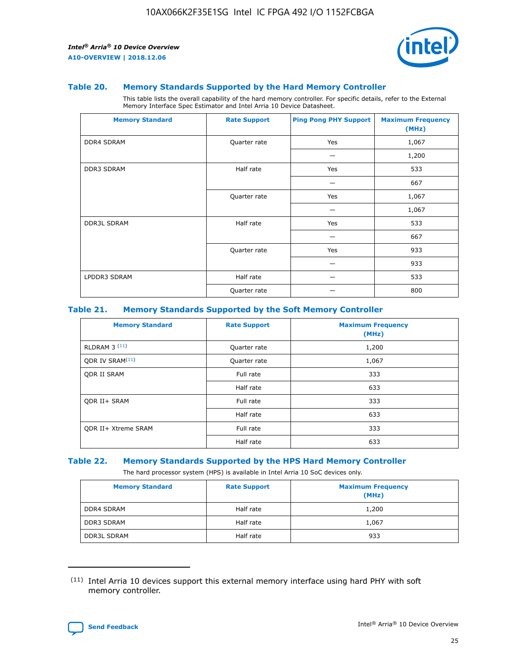

#### **Table 20. Memory Standards Supported by the Hard Memory Controller**

This table lists the overall capability of the hard memory controller. For specific details, refer to the External Memory Interface Spec Estimator and Intel Arria 10 Device Datasheet.

| <b>Memory Standard</b> | <b>Rate Support</b> | <b>Ping Pong PHY Support</b> | <b>Maximum Frequency</b><br>(MHz) |
|------------------------|---------------------|------------------------------|-----------------------------------|
| <b>DDR4 SDRAM</b>      | Quarter rate        | Yes                          | 1,067                             |
|                        |                     |                              | 1,200                             |
| DDR3 SDRAM             | Half rate           | Yes                          | 533                               |
|                        |                     |                              | 667                               |
|                        | Quarter rate        | Yes                          | 1,067                             |
|                        |                     |                              | 1,067                             |
| <b>DDR3L SDRAM</b>     | Half rate           | Yes                          | 533                               |
|                        |                     |                              | 667                               |
|                        | Quarter rate        | Yes                          | 933                               |
|                        |                     |                              | 933                               |
| LPDDR3 SDRAM           | Half rate           |                              | 533                               |
|                        | Quarter rate        |                              | 800                               |

#### **Table 21. Memory Standards Supported by the Soft Memory Controller**

| <b>Memory Standard</b>      | <b>Rate Support</b> | <b>Maximum Frequency</b><br>(MHz) |
|-----------------------------|---------------------|-----------------------------------|
| <b>RLDRAM 3 (11)</b>        | Quarter rate        | 1,200                             |
| ODR IV SRAM <sup>(11)</sup> | Quarter rate        | 1,067                             |
| <b>ODR II SRAM</b>          | Full rate           | 333                               |
|                             | Half rate           | 633                               |
| <b>ODR II+ SRAM</b>         | Full rate           | 333                               |
|                             | Half rate           | 633                               |
| <b>ODR II+ Xtreme SRAM</b>  | Full rate           | 333                               |
|                             | Half rate           | 633                               |

#### **Table 22. Memory Standards Supported by the HPS Hard Memory Controller**

The hard processor system (HPS) is available in Intel Arria 10 SoC devices only.

| <b>Memory Standard</b> | <b>Rate Support</b> | <b>Maximum Frequency</b><br>(MHz) |
|------------------------|---------------------|-----------------------------------|
| <b>DDR4 SDRAM</b>      | Half rate           | 1,200                             |
| <b>DDR3 SDRAM</b>      | Half rate           | 1,067                             |
| <b>DDR3L SDRAM</b>     | Half rate           | 933                               |

<sup>(11)</sup> Intel Arria 10 devices support this external memory interface using hard PHY with soft memory controller.

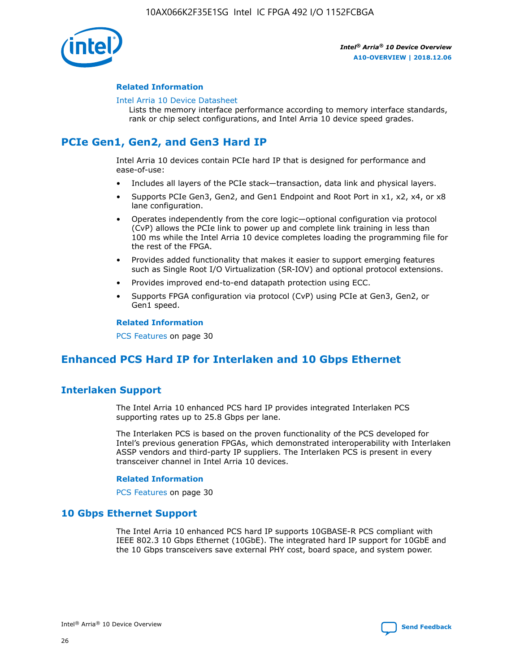

#### **Related Information**

#### [Intel Arria 10 Device Datasheet](https://www.intel.com/content/www/us/en/programmable/documentation/mcn1413182292568.html#mcn1413182153340)

Lists the memory interface performance according to memory interface standards, rank or chip select configurations, and Intel Arria 10 device speed grades.

## **PCIe Gen1, Gen2, and Gen3 Hard IP**

Intel Arria 10 devices contain PCIe hard IP that is designed for performance and ease-of-use:

- Includes all layers of the PCIe stack—transaction, data link and physical layers.
- Supports PCIe Gen3, Gen2, and Gen1 Endpoint and Root Port in x1, x2, x4, or x8 lane configuration.
- Operates independently from the core logic—optional configuration via protocol (CvP) allows the PCIe link to power up and complete link training in less than 100 ms while the Intel Arria 10 device completes loading the programming file for the rest of the FPGA.
- Provides added functionality that makes it easier to support emerging features such as Single Root I/O Virtualization (SR-IOV) and optional protocol extensions.
- Provides improved end-to-end datapath protection using ECC.
- Supports FPGA configuration via protocol (CvP) using PCIe at Gen3, Gen2, or Gen1 speed.

#### **Related Information**

PCS Features on page 30

## **Enhanced PCS Hard IP for Interlaken and 10 Gbps Ethernet**

## **Interlaken Support**

The Intel Arria 10 enhanced PCS hard IP provides integrated Interlaken PCS supporting rates up to 25.8 Gbps per lane.

The Interlaken PCS is based on the proven functionality of the PCS developed for Intel's previous generation FPGAs, which demonstrated interoperability with Interlaken ASSP vendors and third-party IP suppliers. The Interlaken PCS is present in every transceiver channel in Intel Arria 10 devices.

#### **Related Information**

PCS Features on page 30

#### **10 Gbps Ethernet Support**

The Intel Arria 10 enhanced PCS hard IP supports 10GBASE-R PCS compliant with IEEE 802.3 10 Gbps Ethernet (10GbE). The integrated hard IP support for 10GbE and the 10 Gbps transceivers save external PHY cost, board space, and system power.

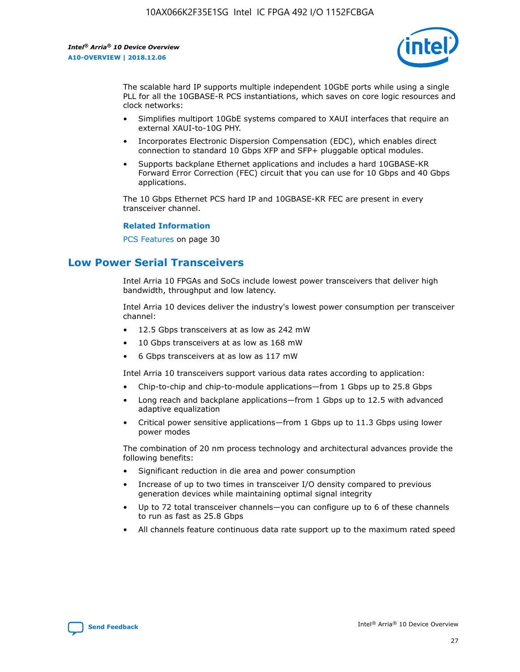

The scalable hard IP supports multiple independent 10GbE ports while using a single PLL for all the 10GBASE-R PCS instantiations, which saves on core logic resources and clock networks:

- Simplifies multiport 10GbE systems compared to XAUI interfaces that require an external XAUI-to-10G PHY.
- Incorporates Electronic Dispersion Compensation (EDC), which enables direct connection to standard 10 Gbps XFP and SFP+ pluggable optical modules.
- Supports backplane Ethernet applications and includes a hard 10GBASE-KR Forward Error Correction (FEC) circuit that you can use for 10 Gbps and 40 Gbps applications.

The 10 Gbps Ethernet PCS hard IP and 10GBASE-KR FEC are present in every transceiver channel.

#### **Related Information**

PCS Features on page 30

## **Low Power Serial Transceivers**

Intel Arria 10 FPGAs and SoCs include lowest power transceivers that deliver high bandwidth, throughput and low latency.

Intel Arria 10 devices deliver the industry's lowest power consumption per transceiver channel:

- 12.5 Gbps transceivers at as low as 242 mW
- 10 Gbps transceivers at as low as 168 mW
- 6 Gbps transceivers at as low as 117 mW

Intel Arria 10 transceivers support various data rates according to application:

- Chip-to-chip and chip-to-module applications—from 1 Gbps up to 25.8 Gbps
- Long reach and backplane applications—from 1 Gbps up to 12.5 with advanced adaptive equalization
- Critical power sensitive applications—from 1 Gbps up to 11.3 Gbps using lower power modes

The combination of 20 nm process technology and architectural advances provide the following benefits:

- Significant reduction in die area and power consumption
- Increase of up to two times in transceiver I/O density compared to previous generation devices while maintaining optimal signal integrity
- Up to 72 total transceiver channels—you can configure up to 6 of these channels to run as fast as 25.8 Gbps
- All channels feature continuous data rate support up to the maximum rated speed

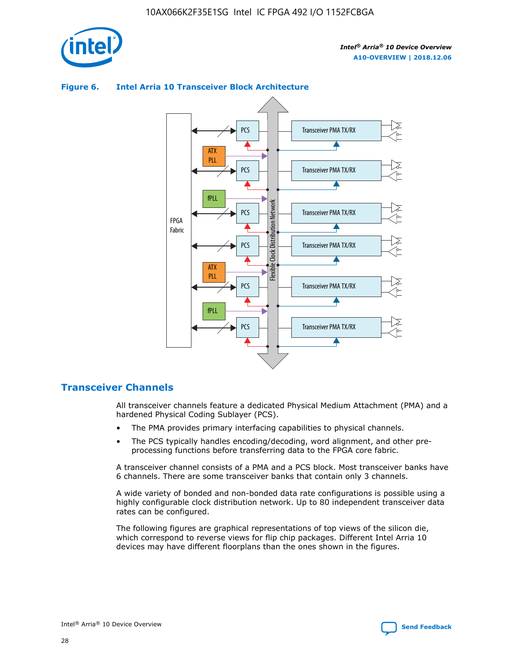



#### **Figure 6. Intel Arria 10 Transceiver Block Architecture**

#### **Transceiver Channels**

All transceiver channels feature a dedicated Physical Medium Attachment (PMA) and a hardened Physical Coding Sublayer (PCS).

- The PMA provides primary interfacing capabilities to physical channels.
- The PCS typically handles encoding/decoding, word alignment, and other preprocessing functions before transferring data to the FPGA core fabric.

A transceiver channel consists of a PMA and a PCS block. Most transceiver banks have 6 channels. There are some transceiver banks that contain only 3 channels.

A wide variety of bonded and non-bonded data rate configurations is possible using a highly configurable clock distribution network. Up to 80 independent transceiver data rates can be configured.

The following figures are graphical representations of top views of the silicon die, which correspond to reverse views for flip chip packages. Different Intel Arria 10 devices may have different floorplans than the ones shown in the figures.

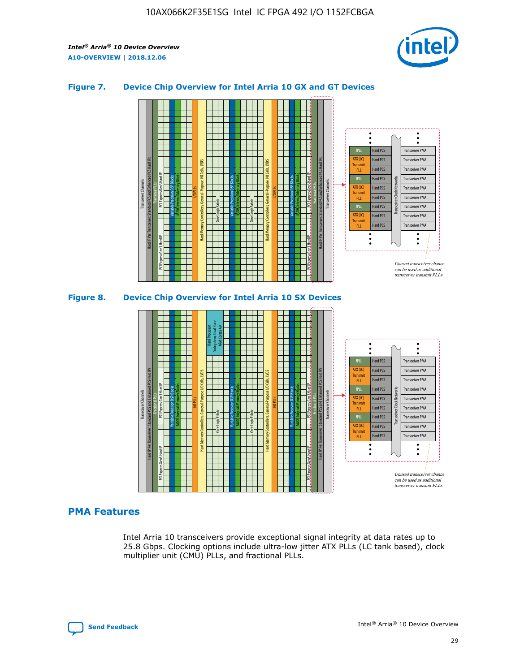

#### **Figure 7. Device Chip Overview for Intel Arria 10 GX and GT Devices**





#### **PMA Features**

Intel Arria 10 transceivers provide exceptional signal integrity at data rates up to 25.8 Gbps. Clocking options include ultra-low jitter ATX PLLs (LC tank based), clock multiplier unit (CMU) PLLs, and fractional PLLs.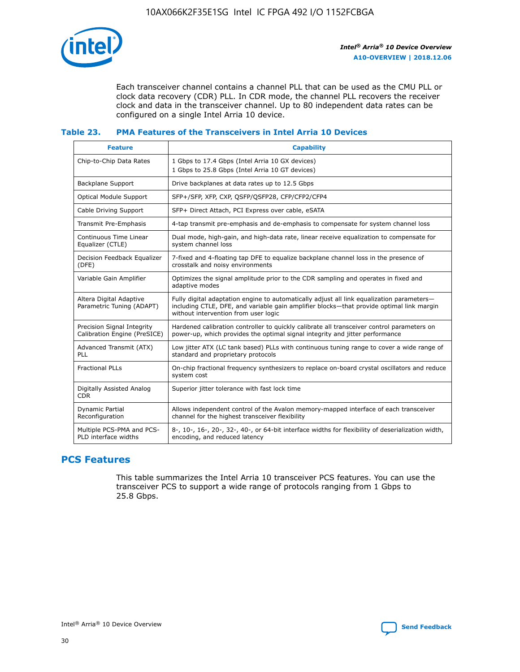

Each transceiver channel contains a channel PLL that can be used as the CMU PLL or clock data recovery (CDR) PLL. In CDR mode, the channel PLL recovers the receiver clock and data in the transceiver channel. Up to 80 independent data rates can be configured on a single Intel Arria 10 device.

#### **Table 23. PMA Features of the Transceivers in Intel Arria 10 Devices**

| <b>Feature</b>                                             | <b>Capability</b>                                                                                                                                                                                                             |
|------------------------------------------------------------|-------------------------------------------------------------------------------------------------------------------------------------------------------------------------------------------------------------------------------|
| Chip-to-Chip Data Rates                                    | 1 Gbps to 17.4 Gbps (Intel Arria 10 GX devices)<br>1 Gbps to 25.8 Gbps (Intel Arria 10 GT devices)                                                                                                                            |
| <b>Backplane Support</b>                                   | Drive backplanes at data rates up to 12.5 Gbps                                                                                                                                                                                |
| <b>Optical Module Support</b>                              | SFP+/SFP, XFP, CXP, QSFP/QSFP28, CFP/CFP2/CFP4                                                                                                                                                                                |
| Cable Driving Support                                      | SFP+ Direct Attach, PCI Express over cable, eSATA                                                                                                                                                                             |
| Transmit Pre-Emphasis                                      | 4-tap transmit pre-emphasis and de-emphasis to compensate for system channel loss                                                                                                                                             |
| Continuous Time Linear<br>Equalizer (CTLE)                 | Dual mode, high-gain, and high-data rate, linear receive equalization to compensate for<br>system channel loss                                                                                                                |
| Decision Feedback Equalizer<br>(DFE)                       | 7-fixed and 4-floating tap DFE to equalize backplane channel loss in the presence of<br>crosstalk and noisy environments                                                                                                      |
| Variable Gain Amplifier                                    | Optimizes the signal amplitude prior to the CDR sampling and operates in fixed and<br>adaptive modes                                                                                                                          |
| Altera Digital Adaptive<br>Parametric Tuning (ADAPT)       | Fully digital adaptation engine to automatically adjust all link equalization parameters-<br>including CTLE, DFE, and variable gain amplifier blocks—that provide optimal link margin<br>without intervention from user logic |
| Precision Signal Integrity<br>Calibration Engine (PreSICE) | Hardened calibration controller to quickly calibrate all transceiver control parameters on<br>power-up, which provides the optimal signal integrity and jitter performance                                                    |
| Advanced Transmit (ATX)<br><b>PLL</b>                      | Low jitter ATX (LC tank based) PLLs with continuous tuning range to cover a wide range of<br>standard and proprietary protocols                                                                                               |
| <b>Fractional PLLs</b>                                     | On-chip fractional frequency synthesizers to replace on-board crystal oscillators and reduce<br>system cost                                                                                                                   |
| Digitally Assisted Analog<br><b>CDR</b>                    | Superior jitter tolerance with fast lock time                                                                                                                                                                                 |
| Dynamic Partial<br>Reconfiguration                         | Allows independent control of the Avalon memory-mapped interface of each transceiver<br>channel for the highest transceiver flexibility                                                                                       |
| Multiple PCS-PMA and PCS-<br>PLD interface widths          | 8-, 10-, 16-, 20-, 32-, 40-, or 64-bit interface widths for flexibility of deserialization width,<br>encoding, and reduced latency                                                                                            |

## **PCS Features**

This table summarizes the Intel Arria 10 transceiver PCS features. You can use the transceiver PCS to support a wide range of protocols ranging from 1 Gbps to 25.8 Gbps.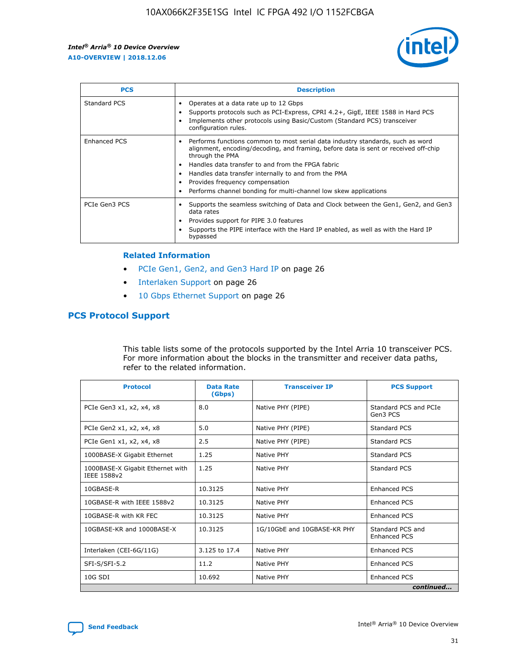

| <b>PCS</b>    | <b>Description</b>                                                                                                                                                                                                                                                                                                                                                                                             |
|---------------|----------------------------------------------------------------------------------------------------------------------------------------------------------------------------------------------------------------------------------------------------------------------------------------------------------------------------------------------------------------------------------------------------------------|
| Standard PCS  | Operates at a data rate up to 12 Gbps<br>Supports protocols such as PCI-Express, CPRI 4.2+, GigE, IEEE 1588 in Hard PCS<br>Implements other protocols using Basic/Custom (Standard PCS) transceiver<br>configuration rules.                                                                                                                                                                                    |
| Enhanced PCS  | Performs functions common to most serial data industry standards, such as word<br>alignment, encoding/decoding, and framing, before data is sent or received off-chip<br>through the PMA<br>• Handles data transfer to and from the FPGA fabric<br>Handles data transfer internally to and from the PMA<br>Provides frequency compensation<br>Performs channel bonding for multi-channel low skew applications |
| PCIe Gen3 PCS | Supports the seamless switching of Data and Clock between the Gen1, Gen2, and Gen3<br>data rates<br>Provides support for PIPE 3.0 features<br>Supports the PIPE interface with the Hard IP enabled, as well as with the Hard IP<br>bypassed                                                                                                                                                                    |

#### **Related Information**

- PCIe Gen1, Gen2, and Gen3 Hard IP on page 26
- Interlaken Support on page 26
- 10 Gbps Ethernet Support on page 26

#### **PCS Protocol Support**

This table lists some of the protocols supported by the Intel Arria 10 transceiver PCS. For more information about the blocks in the transmitter and receiver data paths, refer to the related information.

| <b>Protocol</b>                                 | <b>Data Rate</b><br>(Gbps) | <b>Transceiver IP</b>       | <b>PCS Support</b>                      |
|-------------------------------------------------|----------------------------|-----------------------------|-----------------------------------------|
| PCIe Gen3 x1, x2, x4, x8                        | 8.0                        | Native PHY (PIPE)           | Standard PCS and PCIe<br>Gen3 PCS       |
| PCIe Gen2 x1, x2, x4, x8                        | 5.0                        | Native PHY (PIPE)           | <b>Standard PCS</b>                     |
| PCIe Gen1 x1, x2, x4, x8                        | 2.5                        | Native PHY (PIPE)           | Standard PCS                            |
| 1000BASE-X Gigabit Ethernet                     | 1.25                       | Native PHY                  | <b>Standard PCS</b>                     |
| 1000BASE-X Gigabit Ethernet with<br>IEEE 1588v2 | 1.25                       | Native PHY                  | Standard PCS                            |
| 10GBASE-R                                       | 10.3125                    | Native PHY                  | <b>Enhanced PCS</b>                     |
| 10GBASE-R with IEEE 1588v2                      | 10.3125                    | Native PHY                  | <b>Enhanced PCS</b>                     |
| 10GBASE-R with KR FEC                           | 10.3125                    | Native PHY                  | <b>Enhanced PCS</b>                     |
| 10GBASE-KR and 1000BASE-X                       | 10.3125                    | 1G/10GbE and 10GBASE-KR PHY | Standard PCS and<br><b>Enhanced PCS</b> |
| Interlaken (CEI-6G/11G)                         | 3.125 to 17.4              | Native PHY                  | <b>Enhanced PCS</b>                     |
| SFI-S/SFI-5.2                                   | 11.2                       | Native PHY                  | <b>Enhanced PCS</b>                     |
| $10G$ SDI                                       | 10.692                     | Native PHY                  | <b>Enhanced PCS</b>                     |
|                                                 |                            |                             | continued                               |

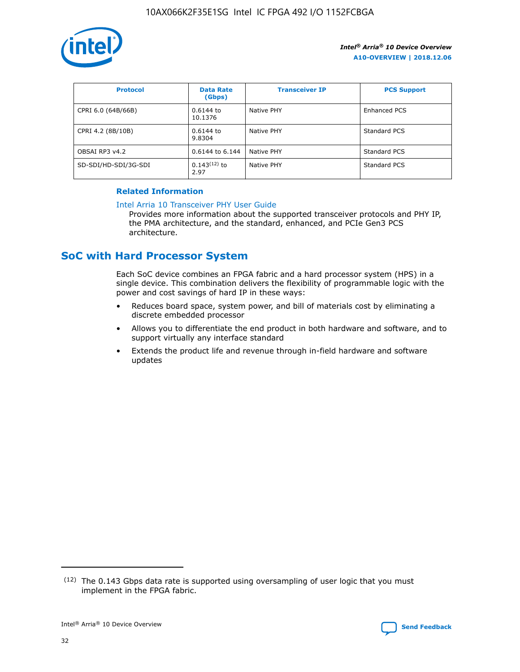

| <b>Protocol</b>      | <b>Data Rate</b><br>(Gbps) | <b>Transceiver IP</b> | <b>PCS Support</b> |
|----------------------|----------------------------|-----------------------|--------------------|
| CPRI 6.0 (64B/66B)   | 0.6144 to<br>10.1376       | Native PHY            | Enhanced PCS       |
| CPRI 4.2 (8B/10B)    | 0.6144 to<br>9.8304        | Native PHY            | Standard PCS       |
| OBSAI RP3 v4.2       | 0.6144 to 6.144            | Native PHY            | Standard PCS       |
| SD-SDI/HD-SDI/3G-SDI | $0.143(12)$ to<br>2.97     | Native PHY            | Standard PCS       |

#### **Related Information**

#### [Intel Arria 10 Transceiver PHY User Guide](https://www.intel.com/content/www/us/en/programmable/documentation/nik1398707230472.html#nik1398707091164)

Provides more information about the supported transceiver protocols and PHY IP, the PMA architecture, and the standard, enhanced, and PCIe Gen3 PCS architecture.

## **SoC with Hard Processor System**

Each SoC device combines an FPGA fabric and a hard processor system (HPS) in a single device. This combination delivers the flexibility of programmable logic with the power and cost savings of hard IP in these ways:

- Reduces board space, system power, and bill of materials cost by eliminating a discrete embedded processor
- Allows you to differentiate the end product in both hardware and software, and to support virtually any interface standard
- Extends the product life and revenue through in-field hardware and software updates

<sup>(12)</sup> The 0.143 Gbps data rate is supported using oversampling of user logic that you must implement in the FPGA fabric.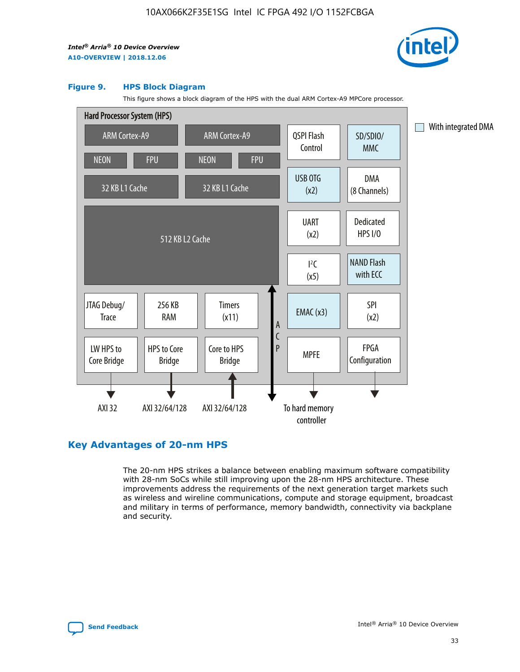

#### **Figure 9. HPS Block Diagram**

This figure shows a block diagram of the HPS with the dual ARM Cortex-A9 MPCore processor.



## **Key Advantages of 20-nm HPS**

The 20-nm HPS strikes a balance between enabling maximum software compatibility with 28-nm SoCs while still improving upon the 28-nm HPS architecture. These improvements address the requirements of the next generation target markets such as wireless and wireline communications, compute and storage equipment, broadcast and military in terms of performance, memory bandwidth, connectivity via backplane and security.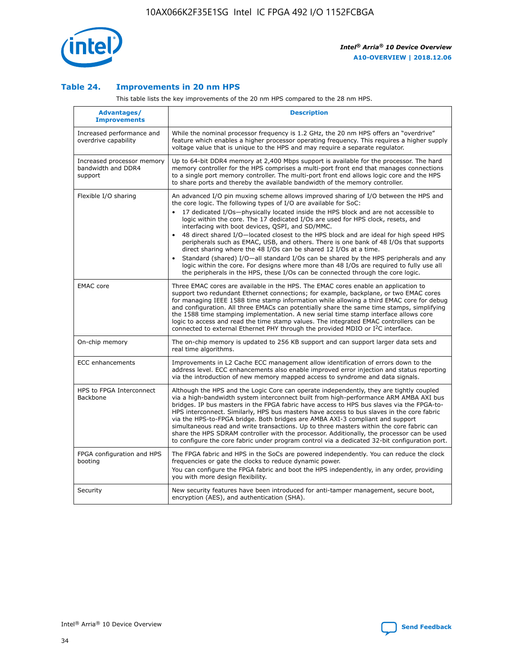

#### **Table 24. Improvements in 20 nm HPS**

This table lists the key improvements of the 20 nm HPS compared to the 28 nm HPS.

| Advantages/<br><b>Improvements</b>                          | <b>Description</b>                                                                                                                                                                                                                                                                                                                                                                                                                                                                                                                                                                                                                                                                                                                                                                                                                                                                                                      |
|-------------------------------------------------------------|-------------------------------------------------------------------------------------------------------------------------------------------------------------------------------------------------------------------------------------------------------------------------------------------------------------------------------------------------------------------------------------------------------------------------------------------------------------------------------------------------------------------------------------------------------------------------------------------------------------------------------------------------------------------------------------------------------------------------------------------------------------------------------------------------------------------------------------------------------------------------------------------------------------------------|
| Increased performance and<br>overdrive capability           | While the nominal processor frequency is 1.2 GHz, the 20 nm HPS offers an "overdrive"<br>feature which enables a higher processor operating frequency. This requires a higher supply<br>voltage value that is unique to the HPS and may require a separate regulator.                                                                                                                                                                                                                                                                                                                                                                                                                                                                                                                                                                                                                                                   |
| Increased processor memory<br>bandwidth and DDR4<br>support | Up to 64-bit DDR4 memory at 2,400 Mbps support is available for the processor. The hard<br>memory controller for the HPS comprises a multi-port front end that manages connections<br>to a single port memory controller. The multi-port front end allows logic core and the HPS<br>to share ports and thereby the available bandwidth of the memory controller.                                                                                                                                                                                                                                                                                                                                                                                                                                                                                                                                                        |
| Flexible I/O sharing                                        | An advanced I/O pin muxing scheme allows improved sharing of I/O between the HPS and<br>the core logic. The following types of I/O are available for SoC:<br>17 dedicated I/Os-physically located inside the HPS block and are not accessible to<br>logic within the core. The 17 dedicated I/Os are used for HPS clock, resets, and<br>interfacing with boot devices, QSPI, and SD/MMC.<br>48 direct shared I/O-located closest to the HPS block and are ideal for high speed HPS<br>peripherals such as EMAC, USB, and others. There is one bank of 48 I/Os that supports<br>direct sharing where the 48 I/Os can be shared 12 I/Os at a time.<br>Standard (shared) I/O-all standard I/Os can be shared by the HPS peripherals and any<br>logic within the core. For designs where more than 48 I/Os are required to fully use all<br>the peripherals in the HPS, these I/Os can be connected through the core logic. |
| <b>EMAC</b> core                                            | Three EMAC cores are available in the HPS. The EMAC cores enable an application to<br>support two redundant Ethernet connections; for example, backplane, or two EMAC cores<br>for managing IEEE 1588 time stamp information while allowing a third EMAC core for debug<br>and configuration. All three EMACs can potentially share the same time stamps, simplifying<br>the 1588 time stamping implementation. A new serial time stamp interface allows core<br>logic to access and read the time stamp values. The integrated EMAC controllers can be<br>connected to external Ethernet PHY through the provided MDIO or I <sup>2</sup> C interface.                                                                                                                                                                                                                                                                  |
| On-chip memory                                              | The on-chip memory is updated to 256 KB support and can support larger data sets and<br>real time algorithms.                                                                                                                                                                                                                                                                                                                                                                                                                                                                                                                                                                                                                                                                                                                                                                                                           |
| <b>ECC</b> enhancements                                     | Improvements in L2 Cache ECC management allow identification of errors down to the<br>address level. ECC enhancements also enable improved error injection and status reporting<br>via the introduction of new memory mapped access to syndrome and data signals.                                                                                                                                                                                                                                                                                                                                                                                                                                                                                                                                                                                                                                                       |
| HPS to FPGA Interconnect<br>Backbone                        | Although the HPS and the Logic Core can operate independently, they are tightly coupled<br>via a high-bandwidth system interconnect built from high-performance ARM AMBA AXI bus<br>bridges. IP bus masters in the FPGA fabric have access to HPS bus slaves via the FPGA-to-<br>HPS interconnect. Similarly, HPS bus masters have access to bus slaves in the core fabric<br>via the HPS-to-FPGA bridge. Both bridges are AMBA AXI-3 compliant and support<br>simultaneous read and write transactions. Up to three masters within the core fabric can<br>share the HPS SDRAM controller with the processor. Additionally, the processor can be used<br>to configure the core fabric under program control via a dedicated 32-bit configuration port.                                                                                                                                                                  |
| FPGA configuration and HPS<br>booting                       | The FPGA fabric and HPS in the SoCs are powered independently. You can reduce the clock<br>frequencies or gate the clocks to reduce dynamic power.<br>You can configure the FPGA fabric and boot the HPS independently, in any order, providing<br>you with more design flexibility.                                                                                                                                                                                                                                                                                                                                                                                                                                                                                                                                                                                                                                    |
| Security                                                    | New security features have been introduced for anti-tamper management, secure boot,<br>encryption (AES), and authentication (SHA).                                                                                                                                                                                                                                                                                                                                                                                                                                                                                                                                                                                                                                                                                                                                                                                      |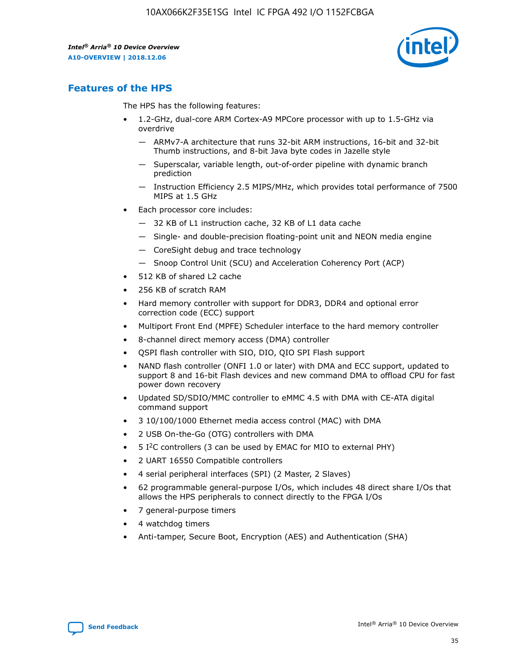

## **Features of the HPS**

The HPS has the following features:

- 1.2-GHz, dual-core ARM Cortex-A9 MPCore processor with up to 1.5-GHz via overdrive
	- ARMv7-A architecture that runs 32-bit ARM instructions, 16-bit and 32-bit Thumb instructions, and 8-bit Java byte codes in Jazelle style
	- Superscalar, variable length, out-of-order pipeline with dynamic branch prediction
	- Instruction Efficiency 2.5 MIPS/MHz, which provides total performance of 7500 MIPS at 1.5 GHz
- Each processor core includes:
	- 32 KB of L1 instruction cache, 32 KB of L1 data cache
	- Single- and double-precision floating-point unit and NEON media engine
	- CoreSight debug and trace technology
	- Snoop Control Unit (SCU) and Acceleration Coherency Port (ACP)
- 512 KB of shared L2 cache
- 256 KB of scratch RAM
- Hard memory controller with support for DDR3, DDR4 and optional error correction code (ECC) support
- Multiport Front End (MPFE) Scheduler interface to the hard memory controller
- 8-channel direct memory access (DMA) controller
- QSPI flash controller with SIO, DIO, QIO SPI Flash support
- NAND flash controller (ONFI 1.0 or later) with DMA and ECC support, updated to support 8 and 16-bit Flash devices and new command DMA to offload CPU for fast power down recovery
- Updated SD/SDIO/MMC controller to eMMC 4.5 with DMA with CE-ATA digital command support
- 3 10/100/1000 Ethernet media access control (MAC) with DMA
- 2 USB On-the-Go (OTG) controllers with DMA
- $\bullet$  5 I<sup>2</sup>C controllers (3 can be used by EMAC for MIO to external PHY)
- 2 UART 16550 Compatible controllers
- 4 serial peripheral interfaces (SPI) (2 Master, 2 Slaves)
- 62 programmable general-purpose I/Os, which includes 48 direct share I/Os that allows the HPS peripherals to connect directly to the FPGA I/Os
- 7 general-purpose timers
- 4 watchdog timers
- Anti-tamper, Secure Boot, Encryption (AES) and Authentication (SHA)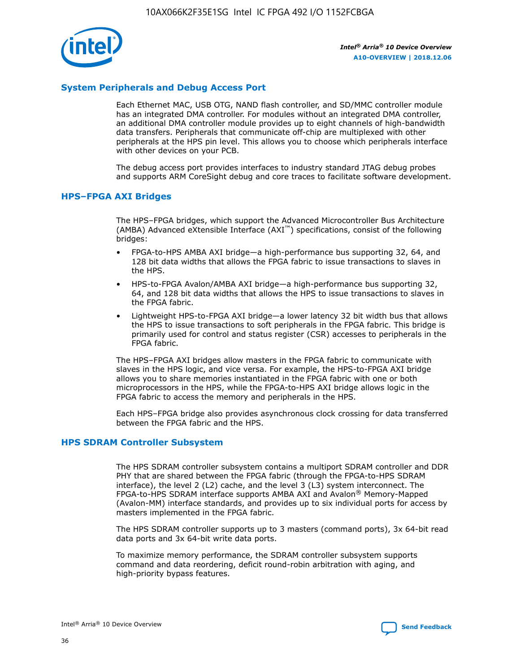

#### **System Peripherals and Debug Access Port**

Each Ethernet MAC, USB OTG, NAND flash controller, and SD/MMC controller module has an integrated DMA controller. For modules without an integrated DMA controller, an additional DMA controller module provides up to eight channels of high-bandwidth data transfers. Peripherals that communicate off-chip are multiplexed with other peripherals at the HPS pin level. This allows you to choose which peripherals interface with other devices on your PCB.

The debug access port provides interfaces to industry standard JTAG debug probes and supports ARM CoreSight debug and core traces to facilitate software development.

#### **HPS–FPGA AXI Bridges**

The HPS–FPGA bridges, which support the Advanced Microcontroller Bus Architecture (AMBA) Advanced eXtensible Interface (AXI™) specifications, consist of the following bridges:

- FPGA-to-HPS AMBA AXI bridge—a high-performance bus supporting 32, 64, and 128 bit data widths that allows the FPGA fabric to issue transactions to slaves in the HPS.
- HPS-to-FPGA Avalon/AMBA AXI bridge—a high-performance bus supporting 32, 64, and 128 bit data widths that allows the HPS to issue transactions to slaves in the FPGA fabric.
- Lightweight HPS-to-FPGA AXI bridge—a lower latency 32 bit width bus that allows the HPS to issue transactions to soft peripherals in the FPGA fabric. This bridge is primarily used for control and status register (CSR) accesses to peripherals in the FPGA fabric.

The HPS–FPGA AXI bridges allow masters in the FPGA fabric to communicate with slaves in the HPS logic, and vice versa. For example, the HPS-to-FPGA AXI bridge allows you to share memories instantiated in the FPGA fabric with one or both microprocessors in the HPS, while the FPGA-to-HPS AXI bridge allows logic in the FPGA fabric to access the memory and peripherals in the HPS.

Each HPS–FPGA bridge also provides asynchronous clock crossing for data transferred between the FPGA fabric and the HPS.

#### **HPS SDRAM Controller Subsystem**

The HPS SDRAM controller subsystem contains a multiport SDRAM controller and DDR PHY that are shared between the FPGA fabric (through the FPGA-to-HPS SDRAM interface), the level 2 (L2) cache, and the level 3 (L3) system interconnect. The FPGA-to-HPS SDRAM interface supports AMBA AXI and Avalon® Memory-Mapped (Avalon-MM) interface standards, and provides up to six individual ports for access by masters implemented in the FPGA fabric.

The HPS SDRAM controller supports up to 3 masters (command ports), 3x 64-bit read data ports and 3x 64-bit write data ports.

To maximize memory performance, the SDRAM controller subsystem supports command and data reordering, deficit round-robin arbitration with aging, and high-priority bypass features.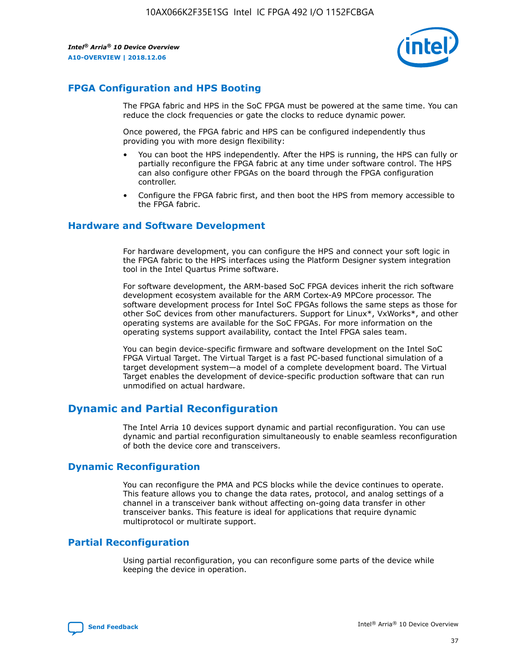

## **FPGA Configuration and HPS Booting**

The FPGA fabric and HPS in the SoC FPGA must be powered at the same time. You can reduce the clock frequencies or gate the clocks to reduce dynamic power.

Once powered, the FPGA fabric and HPS can be configured independently thus providing you with more design flexibility:

- You can boot the HPS independently. After the HPS is running, the HPS can fully or partially reconfigure the FPGA fabric at any time under software control. The HPS can also configure other FPGAs on the board through the FPGA configuration controller.
- Configure the FPGA fabric first, and then boot the HPS from memory accessible to the FPGA fabric.

#### **Hardware and Software Development**

For hardware development, you can configure the HPS and connect your soft logic in the FPGA fabric to the HPS interfaces using the Platform Designer system integration tool in the Intel Quartus Prime software.

For software development, the ARM-based SoC FPGA devices inherit the rich software development ecosystem available for the ARM Cortex-A9 MPCore processor. The software development process for Intel SoC FPGAs follows the same steps as those for other SoC devices from other manufacturers. Support for Linux\*, VxWorks\*, and other operating systems are available for the SoC FPGAs. For more information on the operating systems support availability, contact the Intel FPGA sales team.

You can begin device-specific firmware and software development on the Intel SoC FPGA Virtual Target. The Virtual Target is a fast PC-based functional simulation of a target development system—a model of a complete development board. The Virtual Target enables the development of device-specific production software that can run unmodified on actual hardware.

## **Dynamic and Partial Reconfiguration**

The Intel Arria 10 devices support dynamic and partial reconfiguration. You can use dynamic and partial reconfiguration simultaneously to enable seamless reconfiguration of both the device core and transceivers.

## **Dynamic Reconfiguration**

You can reconfigure the PMA and PCS blocks while the device continues to operate. This feature allows you to change the data rates, protocol, and analog settings of a channel in a transceiver bank without affecting on-going data transfer in other transceiver banks. This feature is ideal for applications that require dynamic multiprotocol or multirate support.

## **Partial Reconfiguration**

Using partial reconfiguration, you can reconfigure some parts of the device while keeping the device in operation.

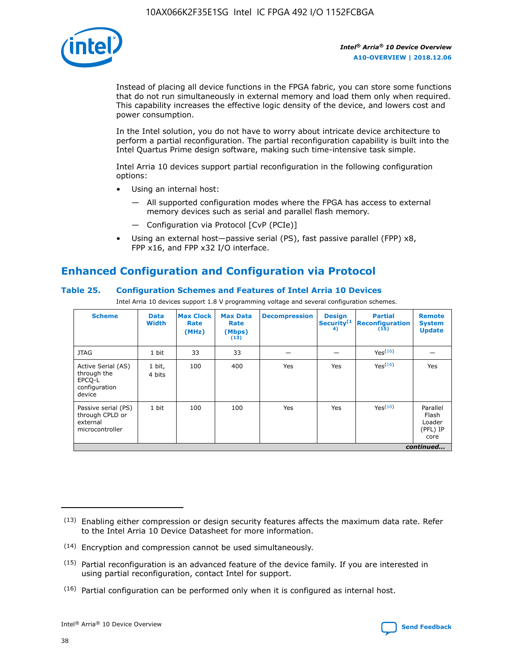

Instead of placing all device functions in the FPGA fabric, you can store some functions that do not run simultaneously in external memory and load them only when required. This capability increases the effective logic density of the device, and lowers cost and power consumption.

In the Intel solution, you do not have to worry about intricate device architecture to perform a partial reconfiguration. The partial reconfiguration capability is built into the Intel Quartus Prime design software, making such time-intensive task simple.

Intel Arria 10 devices support partial reconfiguration in the following configuration options:

- Using an internal host:
	- All supported configuration modes where the FPGA has access to external memory devices such as serial and parallel flash memory.
	- Configuration via Protocol [CvP (PCIe)]
- Using an external host—passive serial (PS), fast passive parallel (FPP) x8, FPP x16, and FPP x32 I/O interface.

# **Enhanced Configuration and Configuration via Protocol**

#### **Table 25. Configuration Schemes and Features of Intel Arria 10 Devices**

Intel Arria 10 devices support 1.8 V programming voltage and several configuration schemes.

| <b>Scheme</b>                                                          | <b>Data</b><br><b>Width</b> | <b>Max Clock</b><br>Rate<br>(MHz) | <b>Max Data</b><br>Rate<br>(Mbps)<br>(13) | <b>Decompression</b> | <b>Design</b><br>Security <sup>(1</sup><br>4) | <b>Partial</b><br>Reconfiguration<br>(15) | <b>Remote</b><br><b>System</b><br><b>Update</b> |
|------------------------------------------------------------------------|-----------------------------|-----------------------------------|-------------------------------------------|----------------------|-----------------------------------------------|-------------------------------------------|-------------------------------------------------|
| <b>JTAG</b>                                                            | 1 bit                       | 33                                | 33                                        |                      |                                               | Yes <sup>(16)</sup>                       |                                                 |
| Active Serial (AS)<br>through the<br>EPCO-L<br>configuration<br>device | 1 bit,<br>4 bits            | 100                               | 400                                       | Yes                  | Yes                                           | $Y_{PS}(16)$                              | Yes                                             |
| Passive serial (PS)<br>through CPLD or<br>external<br>microcontroller  | 1 bit                       | 100                               | 100                                       | Yes                  | Yes                                           | Yes(16)                                   | Parallel<br>Flash<br>Loader<br>(PFL) IP<br>core |
|                                                                        |                             |                                   |                                           |                      |                                               |                                           | continued                                       |

<sup>(13)</sup> Enabling either compression or design security features affects the maximum data rate. Refer to the Intel Arria 10 Device Datasheet for more information.

<sup>(14)</sup> Encryption and compression cannot be used simultaneously.

 $(15)$  Partial reconfiguration is an advanced feature of the device family. If you are interested in using partial reconfiguration, contact Intel for support.

 $(16)$  Partial configuration can be performed only when it is configured as internal host.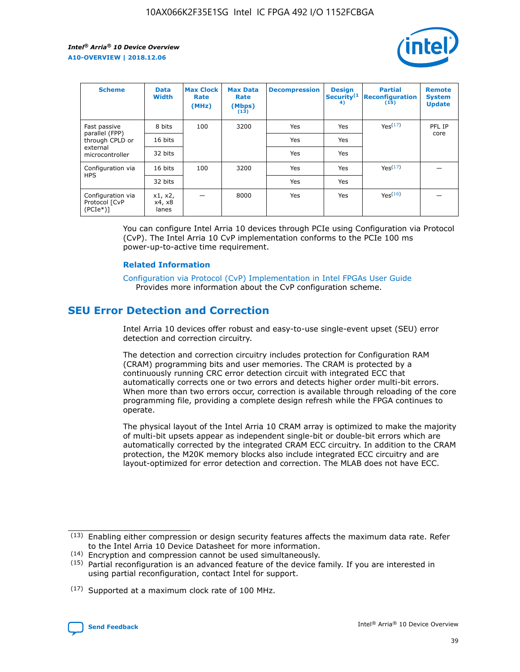

| <b>Scheme</b>                                   | <b>Data</b><br><b>Width</b> | <b>Max Clock</b><br>Rate<br>(MHz) | <b>Max Data</b><br>Rate<br>(Mbps)<br>(13) | <b>Decompression</b> | <b>Design</b><br>Security <sup>(1</sup><br>4) | <b>Partial</b><br><b>Reconfiguration</b><br>(15) | <b>Remote</b><br><b>System</b><br><b>Update</b> |
|-------------------------------------------------|-----------------------------|-----------------------------------|-------------------------------------------|----------------------|-----------------------------------------------|--------------------------------------------------|-------------------------------------------------|
| Fast passive                                    | 8 bits                      | 100                               | 3200                                      | Yes                  | Yes                                           | Yes(17)                                          | PFL IP                                          |
| parallel (FPP)<br>through CPLD or               | 16 bits                     |                                   |                                           | Yes                  | Yes                                           |                                                  | core                                            |
| external<br>microcontroller                     | 32 bits                     |                                   |                                           | Yes                  | Yes                                           |                                                  |                                                 |
| Configuration via                               | 16 bits                     | 100                               | 3200                                      | Yes                  | Yes                                           | Yes <sup>(17)</sup>                              |                                                 |
| <b>HPS</b>                                      | 32 bits                     |                                   |                                           | Yes                  | Yes                                           |                                                  |                                                 |
| Configuration via<br>Protocol [CvP<br>$(PCIe*)$ | x1, x2,<br>x4, x8<br>lanes  |                                   | 8000                                      | Yes                  | Yes                                           | Yes(16)                                          |                                                 |

You can configure Intel Arria 10 devices through PCIe using Configuration via Protocol (CvP). The Intel Arria 10 CvP implementation conforms to the PCIe 100 ms power-up-to-active time requirement.

#### **Related Information**

[Configuration via Protocol \(CvP\) Implementation in Intel FPGAs User Guide](https://www.intel.com/content/www/us/en/programmable/documentation/dsu1441819344145.html#dsu1442269728522) Provides more information about the CvP configuration scheme.

## **SEU Error Detection and Correction**

Intel Arria 10 devices offer robust and easy-to-use single-event upset (SEU) error detection and correction circuitry.

The detection and correction circuitry includes protection for Configuration RAM (CRAM) programming bits and user memories. The CRAM is protected by a continuously running CRC error detection circuit with integrated ECC that automatically corrects one or two errors and detects higher order multi-bit errors. When more than two errors occur, correction is available through reloading of the core programming file, providing a complete design refresh while the FPGA continues to operate.

The physical layout of the Intel Arria 10 CRAM array is optimized to make the majority of multi-bit upsets appear as independent single-bit or double-bit errors which are automatically corrected by the integrated CRAM ECC circuitry. In addition to the CRAM protection, the M20K memory blocks also include integrated ECC circuitry and are layout-optimized for error detection and correction. The MLAB does not have ECC.

(14) Encryption and compression cannot be used simultaneously.

<sup>(17)</sup> Supported at a maximum clock rate of 100 MHz.



 $(13)$  Enabling either compression or design security features affects the maximum data rate. Refer to the Intel Arria 10 Device Datasheet for more information.

 $(15)$  Partial reconfiguration is an advanced feature of the device family. If you are interested in using partial reconfiguration, contact Intel for support.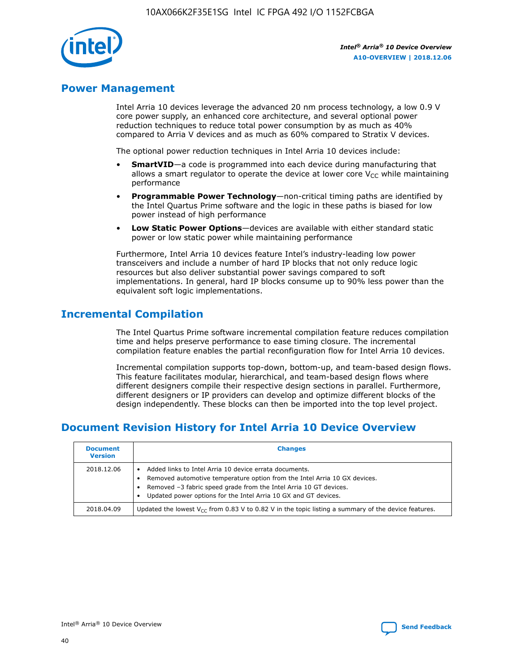

## **Power Management**

Intel Arria 10 devices leverage the advanced 20 nm process technology, a low 0.9 V core power supply, an enhanced core architecture, and several optional power reduction techniques to reduce total power consumption by as much as 40% compared to Arria V devices and as much as 60% compared to Stratix V devices.

The optional power reduction techniques in Intel Arria 10 devices include:

- **SmartVID**—a code is programmed into each device during manufacturing that allows a smart regulator to operate the device at lower core  $V_{CC}$  while maintaining performance
- **Programmable Power Technology**—non-critical timing paths are identified by the Intel Quartus Prime software and the logic in these paths is biased for low power instead of high performance
- **Low Static Power Options**—devices are available with either standard static power or low static power while maintaining performance

Furthermore, Intel Arria 10 devices feature Intel's industry-leading low power transceivers and include a number of hard IP blocks that not only reduce logic resources but also deliver substantial power savings compared to soft implementations. In general, hard IP blocks consume up to 90% less power than the equivalent soft logic implementations.

## **Incremental Compilation**

The Intel Quartus Prime software incremental compilation feature reduces compilation time and helps preserve performance to ease timing closure. The incremental compilation feature enables the partial reconfiguration flow for Intel Arria 10 devices.

Incremental compilation supports top-down, bottom-up, and team-based design flows. This feature facilitates modular, hierarchical, and team-based design flows where different designers compile their respective design sections in parallel. Furthermore, different designers or IP providers can develop and optimize different blocks of the design independently. These blocks can then be imported into the top level project.

## **Document Revision History for Intel Arria 10 Device Overview**

| <b>Document</b><br><b>Version</b> | <b>Changes</b>                                                                                                                                                                                                                                                              |
|-----------------------------------|-----------------------------------------------------------------------------------------------------------------------------------------------------------------------------------------------------------------------------------------------------------------------------|
| 2018.12.06                        | Added links to Intel Arria 10 device errata documents.<br>Removed automotive temperature option from the Intel Arria 10 GX devices.<br>Removed -3 fabric speed grade from the Intel Arria 10 GT devices.<br>Updated power options for the Intel Arria 10 GX and GT devices. |
| 2018.04.09                        | Updated the lowest $V_{CC}$ from 0.83 V to 0.82 V in the topic listing a summary of the device features.                                                                                                                                                                    |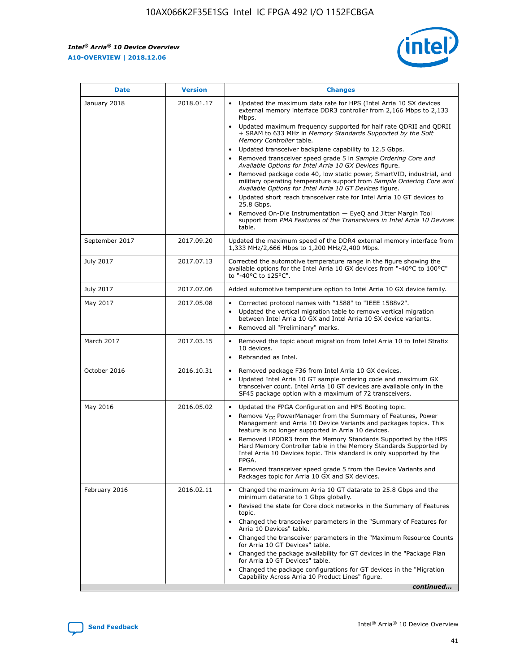$\overline{\phantom{a}}$ 

 $\mathsf{r}$ 



| January 2018<br>Updated the maximum data rate for HPS (Intel Arria 10 SX devices<br>2018.01.17<br>external memory interface DDR3 controller from 2,166 Mbps to 2,133<br>Mbps.<br>$\bullet$<br>+ SRAM to 633 MHz in Memory Standards Supported by the Soft<br>Memory Controller table.<br>Updated transceiver backplane capability to 12.5 Gbps.<br>$\bullet$<br>Removed transceiver speed grade 5 in Sample Ordering Core and<br>Available Options for Intel Arria 10 GX Devices figure.<br>Available Options for Intel Arria 10 GT Devices figure.<br>Updated short reach transceiver rate for Intel Arria 10 GT devices to<br>$\bullet$<br>25.8 Gbps.<br>Removed On-Die Instrumentation - EyeQ and Jitter Margin Tool<br>table.<br>2017.09.20<br>September 2017<br>1,333 MHz/2,666 Mbps to 1,200 MHz/2,400 Mbps.<br>July 2017<br>2017.07.13<br>Corrected the automotive temperature range in the figure showing the<br>available options for the Intel Arria 10 GX devices from "-40°C to 100°C"<br>to "-40°C to 125°C".<br>July 2017<br>2017.07.06<br>Added automotive temperature option to Intel Arria 10 GX device family.<br>2017.05.08<br>Corrected protocol names with "1588" to "IEEE 1588v2".<br>May 2017<br>$\bullet$<br>Updated the vertical migration table to remove vertical migration<br>$\bullet$<br>between Intel Arria 10 GX and Intel Arria 10 SX device variants.<br>Removed all "Preliminary" marks.<br>2017.03.15<br>March 2017<br>Removed the topic about migration from Intel Arria 10 to Intel Stratix<br>10 devices.<br>Rebranded as Intel.<br>$\bullet$<br>October 2016<br>2016.10.31<br>Removed package F36 from Intel Arria 10 GX devices.<br>$\bullet$<br>Updated Intel Arria 10 GT sample ordering code and maximum GX<br>$\bullet$<br>transceiver count. Intel Arria 10 GT devices are available only in the<br>SF45 package option with a maximum of 72 transceivers.<br>May 2016<br>2016.05.02<br>Updated the FPGA Configuration and HPS Booting topic.<br>Remove $V_{CC}$ PowerManager from the Summary of Features, Power<br>Management and Arria 10 Device Variants and packages topics. This<br>feature is no longer supported in Arria 10 devices.<br>Removed LPDDR3 from the Memory Standards Supported by the HPS<br>Hard Memory Controller table in the Memory Standards Supported by<br>Intel Arria 10 Devices topic. This standard is only supported by the<br>FPGA.<br>Removed transceiver speed grade 5 from the Device Variants and<br>Packages topic for Arria 10 GX and SX devices.<br>Changed the maximum Arria 10 GT datarate to 25.8 Gbps and the<br>February 2016<br>2016.02.11<br>minimum datarate to 1 Gbps globally.<br>Revised the state for Core clock networks in the Summary of Features<br>$\bullet$<br>topic.<br>• Changed the transceiver parameters in the "Summary of Features for<br>Arria 10 Devices" table.<br>for Arria 10 GT Devices" table.<br>• Changed the package availability for GT devices in the "Package Plan<br>for Arria 10 GT Devices" table.<br>Changed the package configurations for GT devices in the "Migration"<br>Capability Across Arria 10 Product Lines" figure. | <b>Date</b> | <b>Version</b> | <b>Changes</b>                                                                                                                                                                                                                                                                               |
|----------------------------------------------------------------------------------------------------------------------------------------------------------------------------------------------------------------------------------------------------------------------------------------------------------------------------------------------------------------------------------------------------------------------------------------------------------------------------------------------------------------------------------------------------------------------------------------------------------------------------------------------------------------------------------------------------------------------------------------------------------------------------------------------------------------------------------------------------------------------------------------------------------------------------------------------------------------------------------------------------------------------------------------------------------------------------------------------------------------------------------------------------------------------------------------------------------------------------------------------------------------------------------------------------------------------------------------------------------------------------------------------------------------------------------------------------------------------------------------------------------------------------------------------------------------------------------------------------------------------------------------------------------------------------------------------------------------------------------------------------------------------------------------------------------------------------------------------------------------------------------------------------------------------------------------------------------------------------------------------------------------------------------------------------------------------------------------------------------------------------------------------------------------------------------------------------------------------------------------------------------------------------------------------------------------------------------------------------------------------------------------------------------------------------------------------------------------------------------------------------------------------------------------------------------------------------------------------------------------------------------------------------------------------------------------------------------------------------------------------------------------------------------------------------------------------------------------------------------------------------------------------------------------------------------------------------------------------------------------------------------------------------------------------------------------------------------------------------------------------------------------------------------------|-------------|----------------|----------------------------------------------------------------------------------------------------------------------------------------------------------------------------------------------------------------------------------------------------------------------------------------------|
|                                                                                                                                                                                                                                                                                                                                                                                                                                                                                                                                                                                                                                                                                                                                                                                                                                                                                                                                                                                                                                                                                                                                                                                                                                                                                                                                                                                                                                                                                                                                                                                                                                                                                                                                                                                                                                                                                                                                                                                                                                                                                                                                                                                                                                                                                                                                                                                                                                                                                                                                                                                                                                                                                                                                                                                                                                                                                                                                                                                                                                                                                                                                                                |             |                | Updated maximum frequency supported for half rate QDRII and QDRII<br>Removed package code 40, low static power, SmartVID, industrial, and<br>military operating temperature support from Sample Ordering Core and<br>support from PMA Features of the Transceivers in Intel Arria 10 Devices |
|                                                                                                                                                                                                                                                                                                                                                                                                                                                                                                                                                                                                                                                                                                                                                                                                                                                                                                                                                                                                                                                                                                                                                                                                                                                                                                                                                                                                                                                                                                                                                                                                                                                                                                                                                                                                                                                                                                                                                                                                                                                                                                                                                                                                                                                                                                                                                                                                                                                                                                                                                                                                                                                                                                                                                                                                                                                                                                                                                                                                                                                                                                                                                                |             |                | Updated the maximum speed of the DDR4 external memory interface from                                                                                                                                                                                                                         |
|                                                                                                                                                                                                                                                                                                                                                                                                                                                                                                                                                                                                                                                                                                                                                                                                                                                                                                                                                                                                                                                                                                                                                                                                                                                                                                                                                                                                                                                                                                                                                                                                                                                                                                                                                                                                                                                                                                                                                                                                                                                                                                                                                                                                                                                                                                                                                                                                                                                                                                                                                                                                                                                                                                                                                                                                                                                                                                                                                                                                                                                                                                                                                                |             |                |                                                                                                                                                                                                                                                                                              |
|                                                                                                                                                                                                                                                                                                                                                                                                                                                                                                                                                                                                                                                                                                                                                                                                                                                                                                                                                                                                                                                                                                                                                                                                                                                                                                                                                                                                                                                                                                                                                                                                                                                                                                                                                                                                                                                                                                                                                                                                                                                                                                                                                                                                                                                                                                                                                                                                                                                                                                                                                                                                                                                                                                                                                                                                                                                                                                                                                                                                                                                                                                                                                                |             |                |                                                                                                                                                                                                                                                                                              |
|                                                                                                                                                                                                                                                                                                                                                                                                                                                                                                                                                                                                                                                                                                                                                                                                                                                                                                                                                                                                                                                                                                                                                                                                                                                                                                                                                                                                                                                                                                                                                                                                                                                                                                                                                                                                                                                                                                                                                                                                                                                                                                                                                                                                                                                                                                                                                                                                                                                                                                                                                                                                                                                                                                                                                                                                                                                                                                                                                                                                                                                                                                                                                                |             |                |                                                                                                                                                                                                                                                                                              |
|                                                                                                                                                                                                                                                                                                                                                                                                                                                                                                                                                                                                                                                                                                                                                                                                                                                                                                                                                                                                                                                                                                                                                                                                                                                                                                                                                                                                                                                                                                                                                                                                                                                                                                                                                                                                                                                                                                                                                                                                                                                                                                                                                                                                                                                                                                                                                                                                                                                                                                                                                                                                                                                                                                                                                                                                                                                                                                                                                                                                                                                                                                                                                                |             |                |                                                                                                                                                                                                                                                                                              |
|                                                                                                                                                                                                                                                                                                                                                                                                                                                                                                                                                                                                                                                                                                                                                                                                                                                                                                                                                                                                                                                                                                                                                                                                                                                                                                                                                                                                                                                                                                                                                                                                                                                                                                                                                                                                                                                                                                                                                                                                                                                                                                                                                                                                                                                                                                                                                                                                                                                                                                                                                                                                                                                                                                                                                                                                                                                                                                                                                                                                                                                                                                                                                                |             |                |                                                                                                                                                                                                                                                                                              |
|                                                                                                                                                                                                                                                                                                                                                                                                                                                                                                                                                                                                                                                                                                                                                                                                                                                                                                                                                                                                                                                                                                                                                                                                                                                                                                                                                                                                                                                                                                                                                                                                                                                                                                                                                                                                                                                                                                                                                                                                                                                                                                                                                                                                                                                                                                                                                                                                                                                                                                                                                                                                                                                                                                                                                                                                                                                                                                                                                                                                                                                                                                                                                                |             |                |                                                                                                                                                                                                                                                                                              |
|                                                                                                                                                                                                                                                                                                                                                                                                                                                                                                                                                                                                                                                                                                                                                                                                                                                                                                                                                                                                                                                                                                                                                                                                                                                                                                                                                                                                                                                                                                                                                                                                                                                                                                                                                                                                                                                                                                                                                                                                                                                                                                                                                                                                                                                                                                                                                                                                                                                                                                                                                                                                                                                                                                                                                                                                                                                                                                                                                                                                                                                                                                                                                                |             |                | Changed the transceiver parameters in the "Maximum Resource Counts"<br>continued                                                                                                                                                                                                             |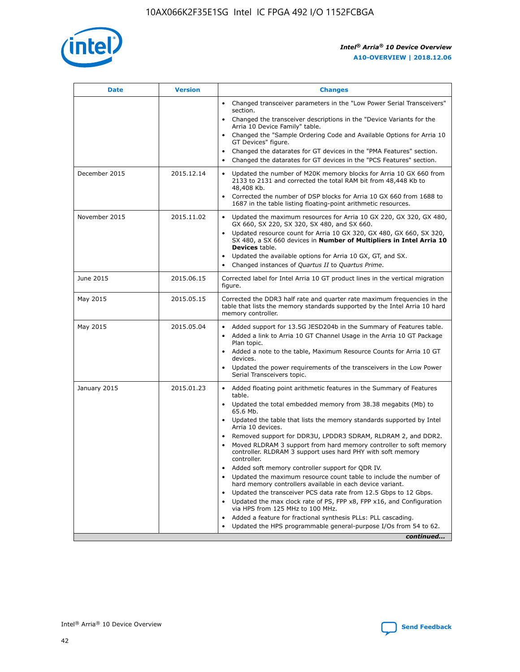

| <b>Date</b>   | <b>Version</b> | <b>Changes</b>                                                                                                                                                               |
|---------------|----------------|------------------------------------------------------------------------------------------------------------------------------------------------------------------------------|
|               |                | • Changed transceiver parameters in the "Low Power Serial Transceivers"<br>section.                                                                                          |
|               |                | • Changed the transceiver descriptions in the "Device Variants for the<br>Arria 10 Device Family" table.                                                                     |
|               |                | Changed the "Sample Ordering Code and Available Options for Arria 10<br>$\bullet$<br>GT Devices" figure.                                                                     |
|               |                | Changed the datarates for GT devices in the "PMA Features" section.                                                                                                          |
|               |                | Changed the datarates for GT devices in the "PCS Features" section.<br>$\bullet$                                                                                             |
| December 2015 | 2015.12.14     | Updated the number of M20K memory blocks for Arria 10 GX 660 from<br>2133 to 2131 and corrected the total RAM bit from 48,448 Kb to<br>48,408 Kb.                            |
|               |                | Corrected the number of DSP blocks for Arria 10 GX 660 from 1688 to<br>1687 in the table listing floating-point arithmetic resources.                                        |
| November 2015 | 2015.11.02     | Updated the maximum resources for Arria 10 GX 220, GX 320, GX 480,<br>$\bullet$<br>GX 660, SX 220, SX 320, SX 480, and SX 660.                                               |
|               |                | • Updated resource count for Arria 10 GX 320, GX 480, GX 660, SX 320,<br>SX 480, a SX 660 devices in Number of Multipliers in Intel Arria 10<br><b>Devices</b> table.        |
|               |                | Updated the available options for Arria 10 GX, GT, and SX.                                                                                                                   |
|               |                | Changed instances of Quartus II to Quartus Prime.<br>$\bullet$                                                                                                               |
| June 2015     | 2015.06.15     | Corrected label for Intel Arria 10 GT product lines in the vertical migration<br>figure.                                                                                     |
| May 2015      | 2015.05.15     | Corrected the DDR3 half rate and quarter rate maximum frequencies in the<br>table that lists the memory standards supported by the Intel Arria 10 hard<br>memory controller. |
| May 2015      | 2015.05.04     | • Added support for 13.5G JESD204b in the Summary of Features table.                                                                                                         |
|               |                | • Added a link to Arria 10 GT Channel Usage in the Arria 10 GT Package<br>Plan topic.                                                                                        |
|               |                | • Added a note to the table, Maximum Resource Counts for Arria 10 GT<br>devices.                                                                                             |
|               |                | • Updated the power requirements of the transceivers in the Low Power<br>Serial Transceivers topic.                                                                          |
| January 2015  | 2015.01.23     | • Added floating point arithmetic features in the Summary of Features<br>table.                                                                                              |
|               |                | • Updated the total embedded memory from 38.38 megabits (Mb) to<br>65.6 Mb.                                                                                                  |
|               |                | • Updated the table that lists the memory standards supported by Intel<br>Arria 10 devices.                                                                                  |
|               |                | Removed support for DDR3U, LPDDR3 SDRAM, RLDRAM 2, and DDR2.                                                                                                                 |
|               |                | Moved RLDRAM 3 support from hard memory controller to soft memory<br>controller. RLDRAM 3 support uses hard PHY with soft memory<br>controller.                              |
|               |                | Added soft memory controller support for QDR IV.<br>٠                                                                                                                        |
|               |                | Updated the maximum resource count table to include the number of<br>hard memory controllers available in each device variant.                                               |
|               |                | Updated the transceiver PCS data rate from 12.5 Gbps to 12 Gbps.<br>$\bullet$                                                                                                |
|               |                | Updated the max clock rate of PS, FPP x8, FPP x16, and Configuration<br>via HPS from 125 MHz to 100 MHz.                                                                     |
|               |                | Added a feature for fractional synthesis PLLs: PLL cascading.                                                                                                                |
|               |                | Updated the HPS programmable general-purpose I/Os from 54 to 62.<br>$\bullet$                                                                                                |
|               |                | continued                                                                                                                                                                    |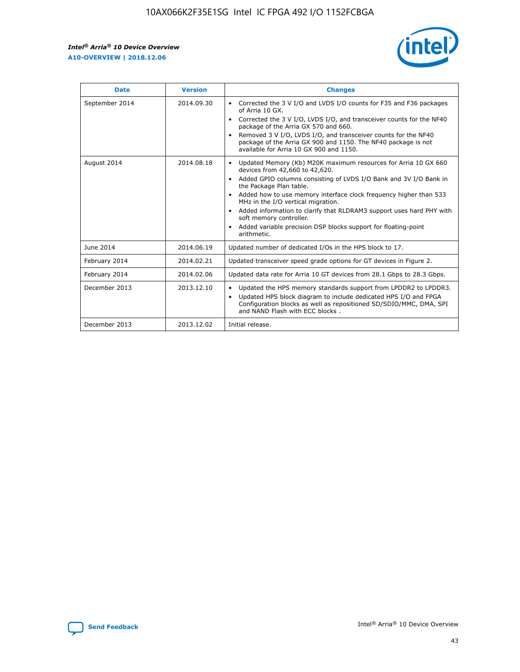r



| <b>Date</b>    | <b>Version</b> | <b>Changes</b>                                                                                                                                                                                                                                                                                                                                                                                                                                                                                                                                      |
|----------------|----------------|-----------------------------------------------------------------------------------------------------------------------------------------------------------------------------------------------------------------------------------------------------------------------------------------------------------------------------------------------------------------------------------------------------------------------------------------------------------------------------------------------------------------------------------------------------|
| September 2014 | 2014.09.30     | Corrected the 3 V I/O and LVDS I/O counts for F35 and F36 packages<br>$\bullet$<br>of Arria 10 GX.<br>Corrected the 3 V I/O, LVDS I/O, and transceiver counts for the NF40<br>$\bullet$<br>package of the Arria GX 570 and 660.<br>Removed 3 V I/O, LVDS I/O, and transceiver counts for the NF40<br>$\bullet$<br>package of the Arria GX 900 and 1150. The NF40 package is not<br>available for Arria 10 GX 900 and 1150.                                                                                                                          |
| August 2014    | 2014.08.18     | Updated Memory (Kb) M20K maximum resources for Arria 10 GX 660<br>devices from 42,660 to 42,620.<br>Added GPIO columns consisting of LVDS I/O Bank and 3V I/O Bank in<br>$\bullet$<br>the Package Plan table.<br>Added how to use memory interface clock frequency higher than 533<br>$\bullet$<br>MHz in the I/O vertical migration.<br>Added information to clarify that RLDRAM3 support uses hard PHY with<br>$\bullet$<br>soft memory controller.<br>Added variable precision DSP blocks support for floating-point<br>$\bullet$<br>arithmetic. |
| June 2014      | 2014.06.19     | Updated number of dedicated I/Os in the HPS block to 17.                                                                                                                                                                                                                                                                                                                                                                                                                                                                                            |
| February 2014  | 2014.02.21     | Updated transceiver speed grade options for GT devices in Figure 2.                                                                                                                                                                                                                                                                                                                                                                                                                                                                                 |
| February 2014  | 2014.02.06     | Updated data rate for Arria 10 GT devices from 28.1 Gbps to 28.3 Gbps.                                                                                                                                                                                                                                                                                                                                                                                                                                                                              |
| December 2013  | 2013.12.10     | Updated the HPS memory standards support from LPDDR2 to LPDDR3.<br>Updated HPS block diagram to include dedicated HPS I/O and FPGA<br>$\bullet$<br>Configuration blocks as well as repositioned SD/SDIO/MMC, DMA, SPI<br>and NAND Flash with ECC blocks.                                                                                                                                                                                                                                                                                            |
| December 2013  | 2013.12.02     | Initial release.                                                                                                                                                                                                                                                                                                                                                                                                                                                                                                                                    |